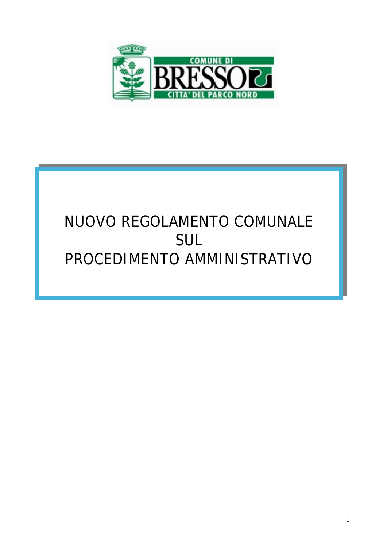

# NUOVO REGOLAMENTO COMUNALE SUL PROCEDIMENTO AMMINISTRATIVO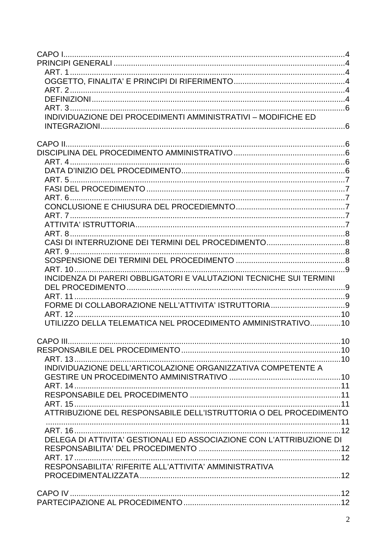| INDIVIDUAZIONE DEI PROCEDIMENTI AMMINISTRATIVI - MODIFICHE ED        |  |
|----------------------------------------------------------------------|--|
|                                                                      |  |
|                                                                      |  |
|                                                                      |  |
|                                                                      |  |
|                                                                      |  |
|                                                                      |  |
|                                                                      |  |
|                                                                      |  |
|                                                                      |  |
|                                                                      |  |
|                                                                      |  |
|                                                                      |  |
|                                                                      |  |
|                                                                      |  |
|                                                                      |  |
| INCIDENZA DI PARERI OBBLIGATORI E VALUTAZIONI TECNICHE SUI TERMINI   |  |
|                                                                      |  |
|                                                                      |  |
|                                                                      |  |
| UTILIZZO DELLA TELEMATICA NEL PROCEDIMENTO AMMINISTRATIVO10          |  |
|                                                                      |  |
|                                                                      |  |
|                                                                      |  |
|                                                                      |  |
| INDIVIDUAZIONE DELL'ARTICOLAZIONE ORGANIZZATIVA COMPETENTE A         |  |
|                                                                      |  |
|                                                                      |  |
|                                                                      |  |
| ATTRIBUZIONE DEL RESPONSABILE DELL'ISTRUTTORIA O DEL PROCEDIMENTO    |  |
|                                                                      |  |
|                                                                      |  |
| DELEGA DI ATTIVITA' GESTIONALI ED ASSOCIAZIONE CON L'ATTRIBUZIONE DI |  |
|                                                                      |  |
|                                                                      |  |
| RESPONSABILITA' RIFERITE ALL'ATTIVITA' AMMINISTRATIVA                |  |
|                                                                      |  |
|                                                                      |  |
|                                                                      |  |
|                                                                      |  |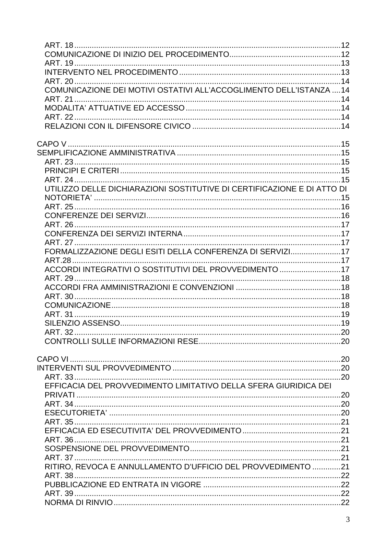| UTILIZZO DELLE DICHIARAZIONI SOSTITUTIVE DI CERTIFICAZIONE E DI ATTO DI |  |
|-------------------------------------------------------------------------|--|
|                                                                         |  |
|                                                                         |  |
|                                                                         |  |
|                                                                         |  |
|                                                                         |  |
| FORMALIZZAZIONE DEGLI ESITI DELLA CONFERENZA DI SERVIZI17               |  |
|                                                                         |  |
| ACCORDI INTEGRATIVI O SOSTITUTIVI DEL PROVVEDIMENTO 17                  |  |
|                                                                         |  |
|                                                                         |  |
|                                                                         |  |
|                                                                         |  |
|                                                                         |  |
|                                                                         |  |
|                                                                         |  |
|                                                                         |  |
|                                                                         |  |
|                                                                         |  |
| EFFICACIA DEL PROVVEDIMENTO LIMITATIVO DELLA SFERA GIURIDICA DEI        |  |
|                                                                         |  |
|                                                                         |  |
|                                                                         |  |
|                                                                         |  |
|                                                                         |  |
|                                                                         |  |
|                                                                         |  |
|                                                                         |  |
| RITIRO, REVOCA E ANNULLAMENTO D'UFFICIO DEL PROVVEDIMENTO 21            |  |
|                                                                         |  |
|                                                                         |  |
|                                                                         |  |
|                                                                         |  |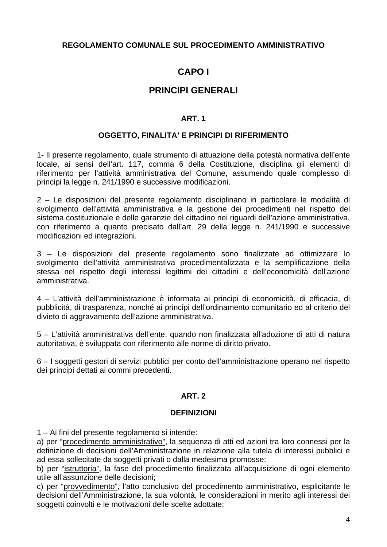## <span id="page-3-0"></span>**REGOLAMENTO COMUNALE SUL PROCEDIMENTO AMMINISTRATIVO**

# **CAPO I**

# **PRINCIPI GENERALI**

#### **ART. 1**

#### **OGGETTO, FINALITA' E PRINCIPI DI RIFERIMENTO**

1- Il presente regolamento, quale strumento di attuazione della potestà normativa dell'ente locale, ai sensi dell'art. 117, comma 6 della Costituzione, disciplina gli elementi di riferimento per l'attività amministrativa del Comune, assumendo quale complesso di principi la legge n. 241/1990 e successive modificazioni.

2 – Le disposizioni del presente regolamento disciplinano in particolare le modalità di svolgimento dell'attività amministrativa e la gestione dei procedimenti nel rispetto del sistema costituzionale e delle garanzie del cittadino nei riguardi dell'azione amministrativa, con riferimento a quanto precisato dall'art. 29 della legge n. 241/1990 e successive modificazioni ed integrazioni.

3 – Le disposizioni del presente regolamento sono finalizzate ad ottimizzare lo svolgimento dell'attività amministrativa procedimentalizzata e la semplificazione della stessa nel rispetto degli interessi legittimi dei cittadini e dell'economicità dell'azione amministrativa.

4 – L'attività dell'amministrazione è informata ai principi di economicità, di efficacia, di pubblicità, di trasparenza, nonché ai principi dell'ordinamento comunitario ed al criterio del divieto di aggravamento dell'azione amministrativa.

5 – L'attività amministrativa dell'ente, quando non finalizzata all'adozione di atti di natura autoritativa, è sviluppata con riferimento alle norme di diritto privato.

6 – I soggetti gestori di servizi pubblici per conto dell'amministrazione operano nel rispetto dei principi dettati ai commi precedenti.

## **ART. 2**

#### **DEFINIZIONI**

1 – Ai fini del presente regolamento si intende:

a) per "procedimento amministrativo", la sequenza di atti ed azioni tra loro connessi per la definizione di decisioni dell'Amministrazione in relazione alla tutela di interessi pubblici e ad essa sollecitate da soggetti privati o dalla medesima promosse;

b) per "istruttoria", la fase del procedimento finalizzata all'acquisizione di ogni elemento utile all'assunzione delle decisioni;

c) per "provvedimento", l'atto conclusivo del procedimento amministrativo, esplicitante le decisioni dell'Amministrazione, la sua volontà, le considerazioni in merito agli interessi dei soggetti coinvolti e le motivazioni delle scelte adottate;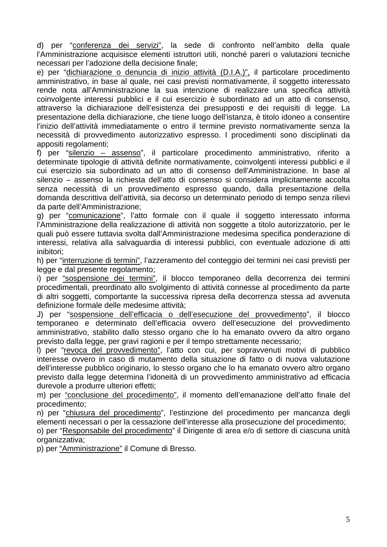d) per "conferenza dei servizi", la sede di confronto nell'ambito della quale l'Amministrazione acquisisce elementi istruttori utili, nonché pareri o valutazioni tecniche necessari per l'adozione della decisione finale;

e) per "dichiarazione o denuncia di inizio attività (D.I.A.)", il particolare procedimento amministrativo, in base al quale, nei casi previsti normativamente, il soggetto interessato rende nota all'Amministrazione la sua intenzione di realizzare una specifica attività coinvolgente interessi pubblici e il cui esercizio è subordinato ad un atto di consenso, attraverso la dichiarazione dell'esistenza dei presupposti e dei requisiti di legge. La presentazione della dichiarazione, che tiene luogo dell'istanza, è titolo idoneo a consentire l'inizio dell'attività immediatamente o entro il termine previsto normativamente senza la necessità di provvedimento autorizzativo espresso. I procedimenti sono disciplinati da appositi regolamenti;

f) per "silenzio – assenso", il particolare procedimento amministrativo, riferito a determinate tipologie di attività definite normativamente, coinvolgenti interessi pubblici e il cui esercizio sia subordinato ad un atto di consenso dell'Amministrazione. In base al silenzio – assenso la richiesta dell'atto di consenso si considera implicitamente accolta senza necessità di un provvedimento espresso quando, dalla presentazione della domanda descrittiva dell'attività, sia decorso un determinato periodo di tempo senza rilievi da parte dell'Amministrazione;

g) per "comunicazione", l'atto formale con il quale il soggetto interessato informa l'Amministrazione della realizzazione di attività non soggette a titolo autorizzatorio, per le quali può essere tuttavia svolta dall'Amministrazione medesima specifica ponderazione di interessi, relativa alla salvaguardia di interessi pubblici, con eventuale adozione di atti inibitori;

h) per "interruzione di termini", l'azzeramento del conteggio dei termini nei casi previsti per legge e dal presente regolamento;

i) per "sospensione dei termini", il blocco temporaneo della decorrenza dei termini procedimentali, preordinato allo svolgimento di attività connesse al procedimento da parte di altri soggetti, comportante la successiva ripresa della decorrenza stessa ad avvenuta definizione formale delle medesime attività;

J) per "sospensione dell'efficacia o dell'esecuzione del provvedimento", il blocco temporaneo e determinato dell'efficacia ovvero dell'esecuzione del provvedimento amministrativo, stabilito dallo stesso organo che lo ha emanato ovvero da altro organo previsto dalla legge, per gravi ragioni e per il tempo strettamente necessario;

I) per "revoca del provvedimento", l'atto con cui, per sopravvenuti motivi di pubblico interesse ovvero in caso di mutamento della situazione di fatto o di nuova valutazione dell'interesse pubblico originario, lo stesso organo che lo ha emanato ovvero altro organo previsto dalla legge determina l'idoneità di un provvedimento amministrativo ad efficacia durevole a produrre ulteriori effetti;

m) per "conclusione del procedimento", il momento dell'emanazione dell'atto finale del procedimento;

n) per "chiusura del procedimento", l'estinzione del procedimento per mancanza degli elementi necessari o per la cessazione dell'interesse alla prosecuzione del procedimento;

o) per "Responsabile del procedimento" il Dirigente di area e/o di settore di ciascuna unità organizzativa;

p) per "Amministrazione" il Comune di Bresso.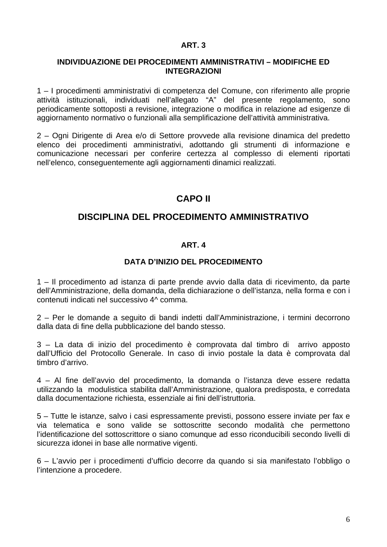#### <span id="page-5-0"></span>**INDIVIDUAZIONE DEI PROCEDIMENTI AMMINISTRATIVI – MODIFICHE ED INTEGRAZIONI**

1 – I procedimenti amministrativi di competenza del Comune, con riferimento alle proprie attività istituzionali, individuati nell'allegato "A" del presente regolamento, sono periodicamente sottoposti a revisione, integrazione o modifica in relazione ad esigenze di aggiornamento normativo o funzionali alla semplificazione dell'attività amministrativa.

2 – Ogni Dirigente di Area e/o di Settore provvede alla revisione dinamica del predetto elenco dei procedimenti amministrativi, adottando gli strumenti di informazione e comunicazione necessari per conferire certezza al complesso di elementi riportati nell'elenco, conseguentemente agli aggiornamenti dinamici realizzati.

# **CAPO II**

## **DISCIPLINA DEL PROCEDIMENTO AMMINISTRATIVO**

## **ART. 4**

## **DATA D'INIZIO DEL PROCEDIMENTO**

1 – Il procedimento ad istanza di parte prende avvio dalla data di ricevimento, da parte dell'Amministrazione, della domanda, della dichiarazione o dell'istanza, nella forma e con i contenuti indicati nel successivo 4^ comma.

2 – Per le domande a seguito di bandi indetti dall'Amministrazione, i termini decorrono dalla data di fine della pubblicazione del bando stesso.

3 – La data di inizio del procedimento è comprovata dal timbro di arrivo apposto dall'Ufficio del Protocollo Generale. In caso di invio postale la data è comprovata dal timbro d'arrivo.

4 – Al fine dell'avvio del procedimento, la domanda o l'istanza deve essere redatta utilizzando la modulistica stabilita dall'Amministrazione, qualora predisposta, e corredata dalla documentazione richiesta, essenziale ai fini dell'istruttoria.

5 – Tutte le istanze, salvo i casi espressamente previsti, possono essere inviate per fax e via telematica e sono valide se sottoscritte secondo modalità che permettono l'identificazione del sottoscrittore o siano comunque ad esso riconducibili secondo livelli di sicurezza idonei in base alle normative vigenti.

6 – L'avvio per i procedimenti d'ufficio decorre da quando si sia manifestato l'obbligo o l'intenzione a procedere.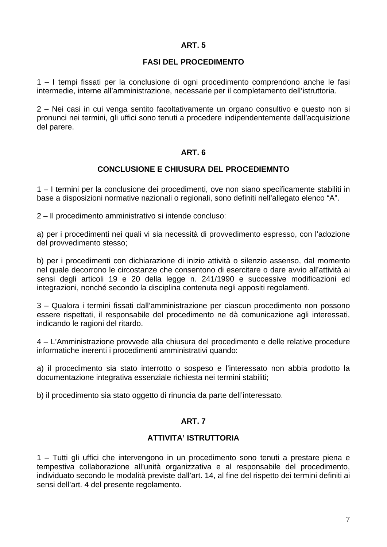#### **FASI DEL PROCEDIMENTO**

<span id="page-6-0"></span>1 – I tempi fissati per la conclusione di ogni procedimento comprendono anche le fasi intermedie, interne all'amministrazione, necessarie per il completamento dell'istruttoria.

2 – Nei casi in cui venga sentito facoltativamente un organo consultivo e questo non si pronunci nei termini, gli uffici sono tenuti a procedere indipendentemente dall'acquisizione del parere.

#### **ART. 6**

#### **CONCLUSIONE E CHIUSURA DEL PROCEDIEMNTO**

1 – I termini per la conclusione dei procedimenti, ove non siano specificamente stabiliti in base a disposizioni normative nazionali o regionali, sono definiti nell'allegato elenco "A".

2 – Il procedimento amministrativo si intende concluso:

a) per i procedimenti nei quali vi sia necessità di provvedimento espresso, con l'adozione del provvedimento stesso;

b) per i procedimenti con dichiarazione di inizio attività o silenzio assenso, dal momento nel quale decorrono le circostanze che consentono di esercitare o dare avvio all'attività ai sensi degli articoli 19 e 20 della legge n. 241/1990 e successive modificazioni ed integrazioni, nonché secondo la disciplina contenuta negli appositi regolamenti.

3 – Qualora i termini fissati dall'amministrazione per ciascun procedimento non possono essere rispettati, il responsabile del procedimento ne dà comunicazione agli interessati, indicando le ragioni del ritardo.

4 – L'Amministrazione provvede alla chiusura del procedimento e delle relative procedure informatiche inerenti i procedimenti amministrativi quando:

a) il procedimento sia stato interrotto o sospeso e l'interessato non abbia prodotto la documentazione integrativa essenziale richiesta nei termini stabiliti;

b) il procedimento sia stato oggetto di rinuncia da parte dell'interessato.

#### **ART. 7**

#### **ATTIVITA' ISTRUTTORIA**

1 – Tutti gli uffici che intervengono in un procedimento sono tenuti a prestare piena e tempestiva collaborazione all'unità organizzativa e al responsabile del procedimento, individuato secondo le modalità previste dall'art. 14, al fine del rispetto dei termini definiti ai sensi dell'art. 4 del presente regolamento.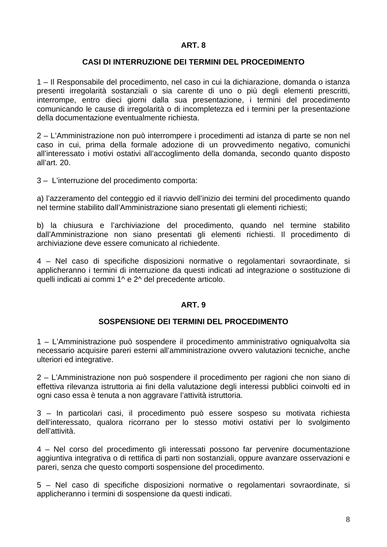#### **CASI DI INTERRUZIONE DEI TERMINI DEL PROCEDIMENTO**

<span id="page-7-0"></span>1 – Il Responsabile del procedimento, nel caso in cui la dichiarazione, domanda o istanza presenti irregolarità sostanziali o sia carente di uno o più degli elementi prescritti, interrompe, entro dieci giorni dalla sua presentazione, i termini del procedimento comunicando le cause di irregolarità o di incompletezza ed i termini per la presentazione della documentazione eventualmente richiesta.

2 – L'Amministrazione non può interrompere i procedimenti ad istanza di parte se non nel caso in cui, prima della formale adozione di un provvedimento negativo, comunichi all'interessato i motivi ostativi all'accoglimento della domanda, secondo quanto disposto all'art. 20.

3 – L'interruzione del procedimento comporta:

a) l'azzeramento del conteggio ed il riavvio dell'inizio dei termini del procedimento quando nel termine stabilito dall'Amministrazione siano presentati gli elementi richiesti;

b) la chiusura e l'archiviazione del procedimento, quando nel termine stabilito dall'Amministrazione non siano presentati gli elementi richiesti. Il procedimento di archiviazione deve essere comunicato al richiedente.

4 – Nel caso di specifiche disposizioni normative o regolamentari sovraordinate, si applicheranno i termini di interruzione da questi indicati ad integrazione o sostituzione di quelli indicati ai commi 1^ e 2^ del precedente articolo.

#### **ART. 9**

#### **SOSPENSIONE DEI TERMINI DEL PROCEDIMENTO**

1 – L'Amministrazione può sospendere il procedimento amministrativo ogniqualvolta sia necessario acquisire pareri esterni all'amministrazione ovvero valutazioni tecniche, anche ulteriori ed integrative.

2 – L'Amministrazione non può sospendere il procedimento per ragioni che non siano di effettiva rilevanza istruttoria ai fini della valutazione degli interessi pubblici coinvolti ed in ogni caso essa è tenuta a non aggravare l'attività istruttoria.

3 – In particolari casi, il procedimento può essere sospeso su motivata richiesta dell'interessato, qualora ricorrano per lo stesso motivi ostativi per lo svolgimento dell'attività.

4 – Nel corso del procedimento gli interessati possono far pervenire documentazione aggiuntiva integrativa o di rettifica di parti non sostanziali, oppure avanzare osservazioni e pareri, senza che questo comporti sospensione del procedimento.

5 – Nel caso di specifiche disposizioni normative o regolamentari sovraordinate, si applicheranno i termini di sospensione da questi indicati.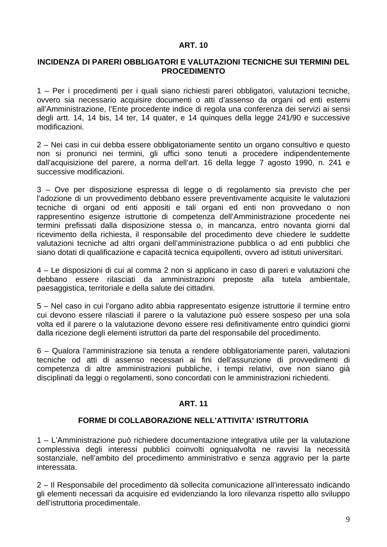#### <span id="page-8-0"></span>**INCIDENZA DI PARERI OBBLIGATORI E VALUTAZIONI TECNICHE SUI TERMINI DEL PROCEDIMENTO**

1 – Per i procedimenti per i quali siano richiesti pareri obbligatori, valutazioni tecniche, ovvero sia necessario acquisire documenti o atti d'assenso da organi od enti esterni all'Amministrazione, l'Ente procedente indice di regola una conferenza dei servizi ai sensi degli artt. 14, 14 bis, 14 ter, 14 quater, e 14 quinques della legge 241/90 e successive modificazioni.

2 – Nei casi in cui debba essere obbligatoriamente sentito un organo consultivo e questo non si pronunci nei termini, gli uffici sono tenuti a procedere indipendentemente dall'acquisizione del parere, a norma dell'art. 16 della legge 7 agosto 1990, n. 241 e successive modificazioni.

3 – Ove per disposizione espressa di legge o di regolamento sia previsto che per l'adozione di un provvedimento debbano essere preventivamente acquisite le valutazioni tecniche di organi od enti appositi e tali organi ed enti non provvedano o non rappresentino esigenze istruttorie di competenza dell'Amministrazione procedente nei termini prefissati dalla disposizione stessa o, in mancanza, entro novanta giorni dal ricevimento della richiesta, il responsabile del procedimento deve chiedere le suddette valutazioni tecniche ad altri organi dell'amministrazione pubblica o ad enti pubblici che siano dotati di qualificazione e capacità tecnica equipollenti, ovvero ad istituti universitari.

4 – Le disposizioni di cui al comma 2 non si applicano in caso di pareri e valutazioni che debbano essere rilasciati da amministrazioni preposte alla tutela ambientale, paesaggistica, territoriale e della salute dei cittadini.

5 – Nel caso in cui l'organo adito abbia rappresentato esigenze istruttorie il termine entro cui devono essere rilasciati il parere o la valutazione può essere sospeso per una sola volta ed il parere o la valutazione devono essere resi definitivamente entro quindici giorni dalla ricezione degli elementi istruttori da parte del responsabile del procedimento.

6 – Qualora l'amministrazione sia tenuta a rendere obbligatoriamente pareri, valutazioni tecniche od atti di assenso necessari ai fini dell'assunzione di provvedimenti di competenza di altre amministrazioni pubbliche, i tempi relativi, ove non siano già disciplinati da leggi o regolamenti, sono concordati con le amministrazioni richiedenti.

#### **ART. 11**

#### **FORME DI COLLABORAZIONE NELL'ATTIVITA' ISTRUTTORIA**

1 – L'Amministrazione può richiedere documentazione integrativa utile per la valutazione complessiva degli interessi pubblici coinvolti ogniqualvolta ne ravvisi la necessità sostanziale, nell'ambito del procedimento amministrativo e senza aggravio per la parte interessata.

2 – Il Responsabile del procedimento dà sollecita comunicazione all'interessato indicando gli elementi necessari da acquisire ed evidenziando la loro rilevanza rispetto allo sviluppo dell'istruttoria procedimentale.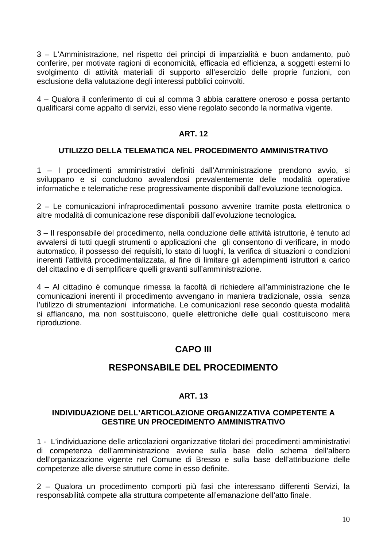<span id="page-9-0"></span>3 – L'Amministrazione, nel rispetto dei principi di imparzialità e buon andamento, può conferire, per motivate ragioni di economicità, efficacia ed efficienza, a soggetti esterni lo svolgimento di attività materiali di supporto all'esercizio delle proprie funzioni, con esclusione della valutazione degli interessi pubblici coinvolti.

4 – Qualora il conferimento di cui al comma 3 abbia carattere oneroso e possa pertanto qualificarsi come appalto di servizi, esso viene regolato secondo la normativa vigente.

#### **ART. 12**

#### **UTILIZZO DELLA TELEMATICA NEL PROCEDIMENTO AMMINISTRATIVO**

1 – I procedimenti amministrativi definiti dall'Amministrazione prendono avvio, si sviluppano e si concludono avvalendosi prevalentemente delle modalità operative informatiche e telematiche rese progressivamente disponibili dall'evoluzione tecnologica.

2 – Le comunicazioni infraprocedimentali possono avvenire tramite posta elettronica o altre modalità di comunicazione rese disponibili dall'evoluzione tecnologica.

3 – Il responsabile del procedimento, nella conduzione delle attività istruttorie, è tenuto ad avvalersi di tutti quegli strumenti o applicazioni che gli consentono di verificare, in modo automatico, il possesso dei requisiti, lo stato di luoghi, la verifica di situazioni o condizioni inerenti l'attività procedimentalizzata, al fine di limitare gli adempimenti istruttori a carico del cittadino e di semplificare quelli gravanti sull'amministrazione.

4 – Al cittadino è comunque rimessa la facoltà di richiedere all'amministrazione che le comunicazioni inerenti il procedimento avvengano in maniera tradizionale, ossia senza l'utilizzo di strumentazioni informatiche. Le comunicazioni rese secondo questa modalità si affiancano, ma non sostituiscono, quelle elettroniche delle quali costituiscono mera riproduzione.

# **CAPO III**

# **RESPONSABILE DEL PROCEDIMENTO**

## **ART. 13**

#### **INDIVIDUAZIONE DELL'ARTICOLAZIONE ORGANIZZATIVA COMPETENTE A GESTIRE UN PROCEDIMENTO AMMINISTRATIVO**

1 - L'individuazione delle articolazioni organizzative titolari dei procedimenti amministrativi di competenza dell'amministrazione avviene sulla base dello schema dell'albero dell'organizzazione vigente nel Comune di Bresso e sulla base dell'attribuzione delle competenze alle diverse strutture come in esso definite.

2 – Qualora un procedimento comporti più fasi che interessano differenti Servizi, la responsabilità compete alla struttura competente all'emanazione dell'atto finale.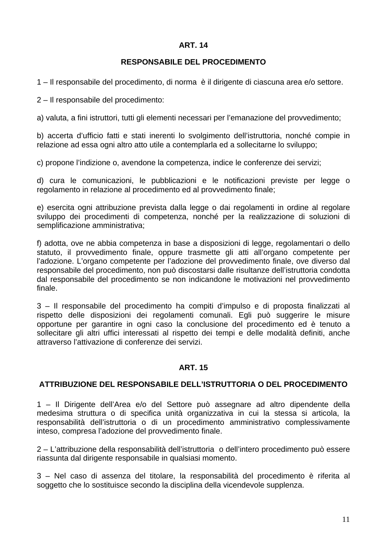#### **RESPONSABILE DEL PROCEDIMENTO**

<span id="page-10-0"></span>1 – Il responsabile del procedimento, di norma è il dirigente di ciascuna area e/o settore.

2 – Il responsabile del procedimento:

a) valuta, a fini istruttori, tutti gli elementi necessari per l'emanazione del provvedimento;

b) accerta d'ufficio fatti e stati inerenti lo svolgimento dell'istruttoria, nonché compie in relazione ad essa ogni altro atto utile a contemplarla ed a sollecitarne lo sviluppo;

c) propone l'indizione o, avendone la competenza, indice le conferenze dei servizi;

d) cura le comunicazioni, le pubblicazioni e le notificazioni previste per legge o regolamento in relazione al procedimento ed al provvedimento finale;

e) esercita ogni attribuzione prevista dalla legge o dai regolamenti in ordine al regolare sviluppo dei procedimenti di competenza, nonché per la realizzazione di soluzioni di semplificazione amministrativa;

f) adotta, ove ne abbia competenza in base a disposizioni di legge, regolamentari o dello statuto, il provvedimento finale, oppure trasmette gli atti all'organo competente per l'adozione. L'organo competente per l'adozione del provvedimento finale, ove diverso dal responsabile del procedimento, non può discostarsi dalle risultanze dell'istruttoria condotta dal responsabile del procedimento se non indicandone le motivazioni nel provvedimento finale.

3 – Il responsabile del procedimento ha compiti d'impulso e di proposta finalizzati al rispetto delle disposizioni dei regolamenti comunali. Egli può suggerire le misure opportune per garantire in ogni caso la conclusione del procedimento ed è tenuto a sollecitare gli altri uffici interessati al rispetto dei tempi e delle modalità definiti, anche attraverso l'attivazione di conferenze dei servizi.

#### **ART. 15**

#### **ATTRIBUZIONE DEL RESPONSABILE DELL'ISTRUTTORIA O DEL PROCEDIMENTO**

1 – Il Dirigente dell'Area e/o del Settore può assegnare ad altro dipendente della medesima struttura o di specifica unità organizzativa in cui la stessa si articola, la responsabilità dell'istruttoria o di un procedimento amministrativo complessivamente inteso, compresa l'adozione del provvedimento finale.

2 – L'attribuzione della responsabilità dell'istruttoria o dell'intero procedimento può essere riassunta dal dirigente responsabile in qualsiasi momento.

3 – Nel caso di assenza del titolare, la responsabilità del procedimento è riferita al soggetto che lo sostituisce secondo la disciplina della vicendevole supplenza.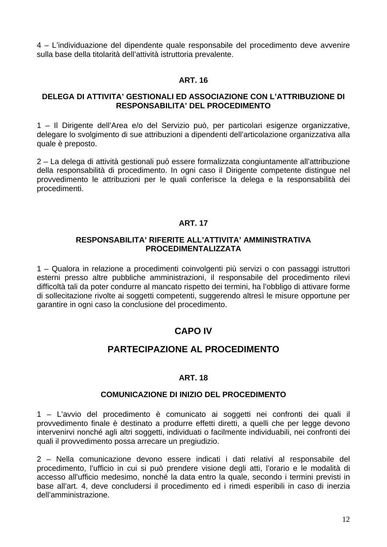<span id="page-11-0"></span>4 – L'individuazione del dipendente quale responsabile del procedimento deve avvenire sulla base della titolarità dell'attività istruttoria prevalente.

#### **ART. 16**

#### **DELEGA DI ATTIVITA' GESTIONALI ED ASSOCIAZIONE CON L'ATTRIBUZIONE DI RESPONSABILITA' DEL PROCEDIMENTO**

1 – Il Dirigente dell'Area e/o del Servizio può, per particolari esigenze organizzative, delegare lo svolgimento di sue attribuzioni a dipendenti dell'articolazione organizzativa alla quale è preposto.

2 – La delega di attività gestionali può essere formalizzata congiuntamente all'attribuzione della responsabilità di procedimento. In ogni caso il Dirigente competente distingue nel provvedimento le attribuzioni per le quali conferisce la delega e la responsabilità dei procedimenti.

#### **ART. 17**

#### **RESPONSABILITA' RIFERITE ALL'ATTIVITA' AMMINISTRATIVA PROCEDIMENTALIZZATA**

1 – Qualora in relazione a procedimenti coinvolgenti più servizi o con passaggi istruttori esterni presso altre pubbliche amministrazioni, il responsabile del procedimento rilevi difficoltà tali da poter condurre al mancato rispetto dei termini, ha l'obbligo di attivare forme di sollecitazione rivolte ai soggetti competenti, suggerendo altresì le misure opportune per garantire in ogni caso la conclusione del procedimento.

# **CAPO IV**

## **PARTECIPAZIONE AL PROCEDIMENTO**

#### **ART. 18**

#### **COMUNICAZIONE DI INIZIO DEL PROCEDIMENTO**

1 – L'avvio del procedimento è comunicato ai soggetti nei confronti dei quali il provvedimento finale è destinato a produrre effetti diretti, a quelli che per legge devono intervenirvi nonché agli altri soggetti, individuati o facilmente individuabili, nei confronti dei quali il provvedimento possa arrecare un pregiudizio.

2 – Nella comunicazione devono essere indicati i dati relativi al responsabile del procedimento, l'ufficio in cui si può prendere visione degli atti, l'orario e le modalità di accesso all'ufficio medesimo, nonché la data entro la quale, secondo i termini previsti in base all'art. 4, deve concludersi il procedimento ed i rimedi esperibili in caso di inerzia dell'amministrazione.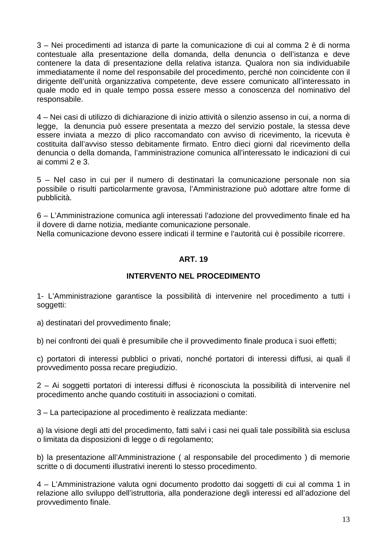<span id="page-12-0"></span>3 – Nei procedimenti ad istanza di parte la comunicazione di cui al comma 2 è di norma contestuale alla presentazione della domanda, della denuncia o dell'istanza e deve contenere la data di presentazione della relativa istanza. Qualora non sia individuabile immediatamente il nome del responsabile del procedimento, perché non coincidente con il dirigente dell'unità organizzativa competente, deve essere comunicato all'interessato in quale modo ed in quale tempo possa essere messo a conoscenza del nominativo del responsabile.

4 – Nei casi di utilizzo di dichiarazione di inizio attività o silenzio assenso in cui, a norma di legge, la denuncia può essere presentata a mezzo del servizio postale, la stessa deve essere inviata a mezzo di plico raccomandato con avviso di ricevimento, la ricevuta è costituita dall'avviso stesso debitamente firmato. Entro dieci giorni dal ricevimento della denuncia o della domanda, l'amministrazione comunica all'interessato le indicazioni di cui ai commi 2 e 3.

5 – Nel caso in cui per il numero di destinatari la comunicazione personale non sia possibile o risulti particolarmente gravosa, l'Amministrazione può adottare altre forme di pubblicità.

6 – L'Amministrazione comunica agli interessati l'adozione del provvedimento finale ed ha il dovere di darne notizia, mediante comunicazione personale.

Nella comunicazione devono essere indicati il termine e l'autorità cui è possibile ricorrere.

## **ART. 19**

## **INTERVENTO NEL PROCEDIMENTO**

1- L'Amministrazione garantisce la possibilità di intervenire nel procedimento a tutti i soggetti:

a) destinatari del provvedimento finale;

b) nei confronti dei quali è presumibile che il provvedimento finale produca i suoi effetti;

c) portatori di interessi pubblici o privati, nonché portatori di interessi diffusi, ai quali il provvedimento possa recare pregiudizio.

2 – Ai soggetti portatori di interessi diffusi è riconosciuta la possibilità di intervenire nel procedimento anche quando costituiti in associazioni o comitati.

3 – La partecipazione al procedimento è realizzata mediante:

a) la visione degli atti del procedimento, fatti salvi i casi nei quali tale possibilità sia esclusa o limitata da disposizioni di legge o di regolamento;

b) la presentazione all'Amministrazione ( al responsabile del procedimento ) di memorie scritte o di documenti illustrativi inerenti lo stesso procedimento.

4 – L'Amministrazione valuta ogni documento prodotto dai soggetti di cui al comma 1 in relazione allo sviluppo dell'istruttoria, alla ponderazione degli interessi ed all'adozione del provvedimento finale.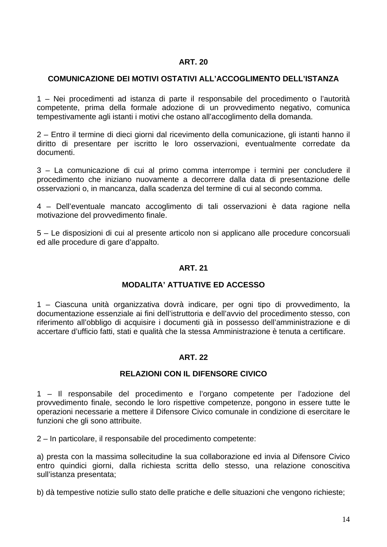#### <span id="page-13-0"></span>**COMUNICAZIONE DEI MOTIVI OSTATIVI ALL'ACCOGLIMENTO DELL'ISTANZA**

1 – Nei procedimenti ad istanza di parte il responsabile del procedimento o l'autorità competente, prima della formale adozione di un provvedimento negativo, comunica tempestivamente agli istanti i motivi che ostano all'accoglimento della domanda.

2 – Entro il termine di dieci giorni dal ricevimento della comunicazione, gli istanti hanno il diritto di presentare per iscritto le loro osservazioni, eventualmente corredate da documenti.

3 – La comunicazione di cui al primo comma interrompe i termini per concludere il procedimento che iniziano nuovamente a decorrere dalla data di presentazione delle osservazioni o, in mancanza, dalla scadenza del termine di cui al secondo comma.

4 – Dell'eventuale mancato accoglimento di tali osservazioni è data ragione nella motivazione del provvedimento finale.

5 – Le disposizioni di cui al presente articolo non si applicano alle procedure concorsuali ed alle procedure di gare d'appalto.

#### **ART. 21**

#### **MODALITA' ATTUATIVE ED ACCESSO**

1 – Ciascuna unità organizzativa dovrà indicare, per ogni tipo di provvedimento, la documentazione essenziale ai fini dell'istruttoria e dell'avvio del procedimento stesso, con riferimento all'obbligo di acquisire i documenti già in possesso dell'amministrazione e di accertare d'ufficio fatti, stati e qualità che la stessa Amministrazione è tenuta a certificare.

## **ART. 22**

#### **RELAZIONI CON IL DIFENSORE CIVICO**

1 – Il responsabile del procedimento e l'organo competente per l'adozione del provvedimento finale, secondo le loro rispettive competenze, pongono in essere tutte le operazioni necessarie a mettere il Difensore Civico comunale in condizione di esercitare le funzioni che gli sono attribuite.

2 – In particolare, il responsabile del procedimento competente:

a) presta con la massima sollecitudine la sua collaborazione ed invia al Difensore Civico entro quindici giorni, dalla richiesta scritta dello stesso, una relazione conoscitiva sull'istanza presentata;

b) dà tempestive notizie sullo stato delle pratiche e delle situazioni che vengono richieste;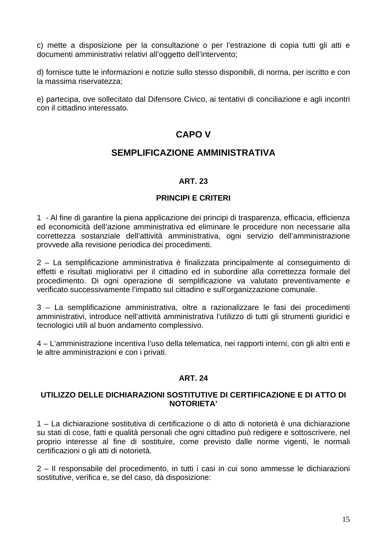<span id="page-14-0"></span>c) mette a disposizione per la consultazione o per l'estrazione di copia tutti gli atti e documenti amministrativi relativi all'oggetto dell'intervento;

d) fornisce tutte le informazioni e notizie sullo stesso disponibili, di norma, per iscritto e con la massima riservatezza;

e) partecipa, ove sollecitato dal Difensore Civico, ai tentativi di conciliazione e agli incontri con il cittadino interessato.

## **CAPO V**

## **SEMPLIFICAZIONE AMMINISTRATIVA**

#### **ART. 23**

#### **PRINCIPI E CRITERI**

1 - Al fine di garantire la piena applicazione dei principi di trasparenza, efficacia, efficienza ed economicità dell'azione amministrativa ed eliminare le procedure non necessarie alla correttezza sostanziale dell'attività amministrativa, ogni servizio dell'amministrazione provvede alla revisione periodica dei procedimenti.

2 – La semplificazione amministrativa è finalizzata principalmente al conseguimento di effetti e risultati migliorativi per il cittadino ed in subordine alla correttezza formale del procedimento. Di ogni operazione di semplificazione va valutato preventivamente e verificato successivamente l'impatto sul cittadino e sull'organizzazione comunale.

3 – La semplificazione amministrativa, oltre a razionalizzare le fasi dei procedimenti amministrativi, introduce nell'attività amministrativa l'utilizzo di tutti gli strumenti giuridici e tecnologici utili al buon andamento complessivo.

4 – L'amministrazione incentiva l'uso della telematica, nei rapporti interni, con gli altri enti e le altre amministrazioni e con i privati.

## **ART. 24**

#### **UTILIZZO DELLE DICHIARAZIONI SOSTITUTIVE DI CERTIFICAZIONE E DI ATTO DI NOTORIETA'**

1 – La dichiarazione sostitutiva di certificazione o di atto di notorietà è una dichiarazione su stati di cose, fatti e qualità personali che ogni cittadino può redigere e sottoscrivere, nel proprio interesse al fine di sostituire, come previsto dalle norme vigenti, le normali certificazioni o gli atti di notorietà.

2 – Il responsabile del procedimento, in tutti i casi in cui sono ammesse le dichiarazioni sostitutive, verifica e, se del caso, dà disposizione: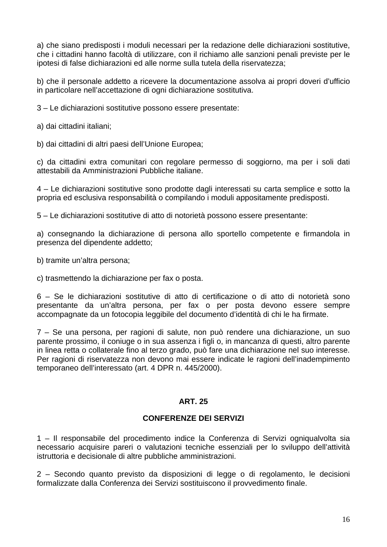<span id="page-15-0"></span>a) che siano predisposti i moduli necessari per la redazione delle dichiarazioni sostitutive, che i cittadini hanno facoltà di utilizzare, con il richiamo alle sanzioni penali previste per le ipotesi di false dichiarazioni ed alle norme sulla tutela della riservatezza;

b) che il personale addetto a ricevere la documentazione assolva ai propri doveri d'ufficio in particolare nell'accettazione di ogni dichiarazione sostitutiva.

3 – Le dichiarazioni sostitutive possono essere presentate:

a) dai cittadini italiani;

b) dai cittadini di altri paesi dell'Unione Europea;

c) da cittadini extra comunitari con regolare permesso di soggiorno, ma per i soli dati attestabili da Amministrazioni Pubbliche italiane.

4 – Le dichiarazioni sostitutive sono prodotte dagli interessati su carta semplice e sotto la propria ed esclusiva responsabilità o compilando i moduli appositamente predisposti.

5 – Le dichiarazioni sostitutive di atto di notorietà possono essere presentante:

a) consegnando la dichiarazione di persona allo sportello competente e firmandola in presenza del dipendente addetto;

b) tramite un'altra persona;

c) trasmettendo la dichiarazione per fax o posta.

6 – Se le dichiarazioni sostitutive di atto di certificazione o di atto di notorietà sono presentante da un'altra persona, per fax o per posta devono essere sempre accompagnate da un fotocopia leggibile del documento d'identità di chi le ha firmate.

7 – Se una persona, per ragioni di salute, non può rendere una dichiarazione, un suo parente prossimo, il coniuge o in sua assenza i figli o, in mancanza di questi, altro parente in linea retta o collaterale fino al terzo grado, può fare una dichiarazione nel suo interesse. Per ragioni di riservatezza non devono mai essere indicate le ragioni dell'inadempimento temporaneo dell'interessato (art. 4 DPR n. 445/2000).

## **ART. 25**

## **CONFERENZE DEI SERVIZI**

1 – Il responsabile del procedimento indice la Conferenza di Servizi ogniqualvolta sia necessario acquisire pareri o valutazioni tecniche essenziali per lo sviluppo dell'attività istruttoria e decisionale di altre pubbliche amministrazioni.

2 – Secondo quanto previsto da disposizioni di legge o di regolamento, le decisioni formalizzate dalla Conferenza dei Servizi sostituiscono il provvedimento finale.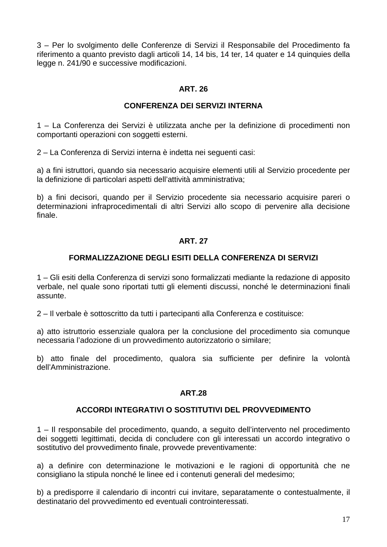<span id="page-16-0"></span>3 – Per lo svolgimento delle Conferenze di Servizi il Responsabile del Procedimento fa riferimento a quanto previsto dagli articoli 14, 14 bis, 14 ter, 14 quater e 14 quinquies della legge n. 241/90 e successive modificazioni.

#### **ART. 26**

#### **CONFERENZA DEI SERVIZI INTERNA**

1 – La Conferenza dei Servizi è utilizzata anche per la definizione di procedimenti non comportanti operazioni con soggetti esterni.

2 – La Conferenza di Servizi interna è indetta nei seguenti casi:

a) a fini istruttori, quando sia necessario acquisire elementi utili al Servizio procedente per la definizione di particolari aspetti dell'attività amministrativa;

b) a fini decisori, quando per il Servizio procedente sia necessario acquisire pareri o determinazioni infraprocedimentali di altri Servizi allo scopo di pervenire alla decisione finale.

## **ART. 27**

#### **FORMALIZZAZIONE DEGLI ESITI DELLA CONFERENZA DI SERVIZI**

1 – Gli esiti della Conferenza di servizi sono formalizzati mediante la redazione di apposito verbale, nel quale sono riportati tutti gli elementi discussi, nonché le determinazioni finali assunte.

2 – Il verbale è sottoscritto da tutti i partecipanti alla Conferenza e costituisce:

a) atto istruttorio essenziale qualora per la conclusione del procedimento sia comunque necessaria l'adozione di un provvedimento autorizzatorio o similare;

b) atto finale del procedimento, qualora sia sufficiente per definire la volontà dell'Amministrazione.

#### **ART.28**

#### **ACCORDI INTEGRATIVI O SOSTITUTIVI DEL PROVVEDIMENTO**

1 – Il responsabile del procedimento, quando, a seguito dell'intervento nel procedimento dei soggetti legittimati, decida di concludere con gli interessati un accordo integrativo o sostitutivo del provvedimento finale, provvede preventivamente:

a) a definire con determinazione le motivazioni e le ragioni di opportunità che ne consigliano la stipula nonché le linee ed i contenuti generali del medesimo;

b) a predisporre il calendario di incontri cui invitare, separatamente o contestualmente, il destinatario del provvedimento ed eventuali controinteressati.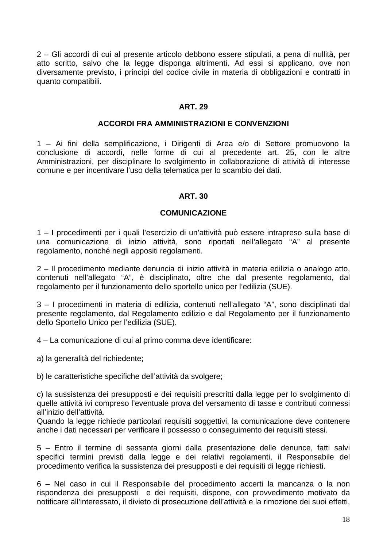<span id="page-17-0"></span>2 – Gli accordi di cui al presente articolo debbono essere stipulati, a pena di nullità, per atto scritto, salvo che la legge disponga altrimenti. Ad essi si applicano, ove non diversamente previsto, i principi del codice civile in materia di obbligazioni e contratti in quanto compatibili.

#### **ART. 29**

#### **ACCORDI FRA AMMINISTRAZIONI E CONVENZIONI**

1 – Ai fini della semplificazione, i Dirigenti di Area e/o di Settore promuovono la conclusione di accordi, nelle forme di cui al precedente art. 25, con le altre Amministrazioni, per disciplinare lo svolgimento in collaborazione di attività di interesse comune e per incentivare l'uso della telematica per lo scambio dei dati.

#### **ART. 30**

#### **COMUNICAZIONE**

1 – I procedimenti per i quali l'esercizio di un'attività può essere intrapreso sulla base di una comunicazione di inizio attività, sono riportati nell'allegato "A" al presente regolamento, nonché negli appositi regolamenti.

2 – Il procedimento mediante denuncia di inizio attività in materia edilizia o analogo atto, contenuti nell'allegato "A", è disciplinato, oltre che dal presente regolamento, dal regolamento per il funzionamento dello sportello unico per l'edilizia (SUE).

3 – I procedimenti in materia di edilizia, contenuti nell'allegato "A", sono disciplinati dal presente regolamento, dal Regolamento edilizio e dal Regolamento per il funzionamento dello Sportello Unico per l'edilizia (SUE).

4 – La comunicazione di cui al primo comma deve identificare:

a) la generalità del richiedente;

b) le caratteristiche specifiche dell'attività da svolgere;

c) la sussistenza dei presupposti e dei requisiti prescritti dalla legge per lo svolgimento di quelle attività ivi compreso l'eventuale prova del versamento di tasse e contributi connessi all'inizio dell'attività.

Quando la legge richiede particolari requisiti soggettivi, la comunicazione deve contenere anche i dati necessari per verificare il possesso o conseguimento dei requisiti stessi.

5 – Entro il termine di sessanta giorni dalla presentazione delle denunce, fatti salvi specifici termini previsti dalla legge e dei relativi regolamenti, il Responsabile del procedimento verifica la sussistenza dei presupposti e dei requisiti di legge richiesti.

6 – Nel caso in cui il Responsabile del procedimento accerti la mancanza o la non rispondenza dei presupposti e dei requisiti, dispone, con provvedimento motivato da notificare all'interessato, il divieto di prosecuzione dell'attività e la rimozione dei suoi effetti,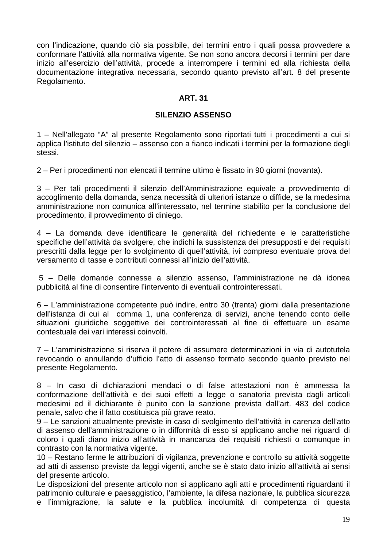<span id="page-18-0"></span>con l'indicazione, quando ciò sia possibile, dei termini entro i quali possa provvedere a conformare l'attività alla normativa vigente. Se non sono ancora decorsi i termini per dare inizio all'esercizio dell'attività, procede a interrompere i termini ed alla richiesta della documentazione integrativa necessaria, secondo quanto previsto all'art. 8 del presente Regolamento.

## **ART. 31**

#### **SILENZIO ASSENSO**

1 – Nell'allegato "A" al presente Regolamento sono riportati tutti i procedimenti a cui si applica l'istituto del silenzio – assenso con a fianco indicati i termini per la formazione degli stessi.

2 – Per i procedimenti non elencati il termine ultimo è fissato in 90 giorni (novanta).

3 – Per tali procedimenti il silenzio dell'Amministrazione equivale a provvedimento di accoglimento della domanda, senza necessità di ulteriori istanze o diffide, se la medesima amministrazione non comunica all'interessato, nel termine stabilito per la conclusione del procedimento, il provvedimento di diniego.

4 – La domanda deve identificare le generalità del richiedente e le caratteristiche specifiche dell'attività da svolgere, che indichi la sussistenza dei presupposti e dei requisiti prescritti dalla legge per lo svolgimento di quell'attività, ivi compreso eventuale prova del versamento di tasse e contributi connessi all'inizio dell'attività.

 5 – Delle domande connesse a silenzio assenso, l'amministrazione ne dà idonea pubblicità al fine di consentire l'intervento di eventuali controinteressati.

6 – L'amministrazione competente può indire, entro 30 (trenta) giorni dalla presentazione dell'istanza di cui al comma 1, una conferenza di servizi, anche tenendo conto delle situazioni giuridiche soggettive dei controinteressati al fine di effettuare un esame contestuale dei vari interessi coinvolti.

7 – L'amministrazione si riserva il potere di assumere determinazioni in via di autotutela revocando o annullando d'ufficio l'atto di assenso formato secondo quanto previsto nel presente Regolamento.

8 – In caso di dichiarazioni mendaci o di false attestazioni non è ammessa la conformazione dell'attività e dei suoi effetti a legge o sanatoria prevista dagli articoli medesimi ed il dichiarante è punito con la sanzione prevista dall'art. 483 del codice penale, salvo che il fatto costituisca più grave reato.

9 – Le sanzioni attualmente previste in caso di svolgimento dell'attività in carenza dell'atto di assenso dell'amministrazione o in difformità di esso si applicano anche nei riguardi di coloro i quali diano inizio all'attività in mancanza dei requisiti richiesti o comunque in contrasto con la normativa vigente.

10 – Restano ferme le attribuzioni di vigilanza, prevenzione e controllo su attività soggette ad atti di assenso previste da leggi vigenti, anche se è stato dato inizio all'attività ai sensi del presente articolo.

Le disposizioni del presente articolo non si applicano agli atti e procedimenti riguardanti il patrimonio culturale e paesaggistico, l'ambiente, la difesa nazionale, la pubblica sicurezza e l'immigrazione, la salute e la pubblica incolumità di competenza di questa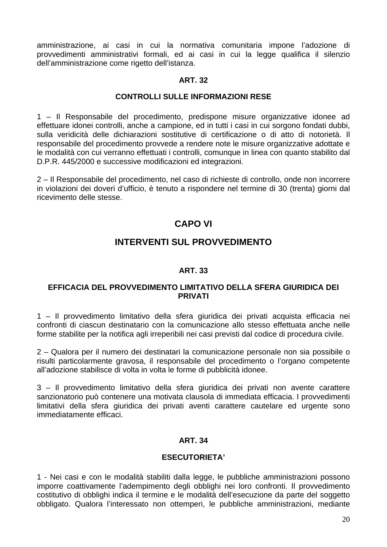<span id="page-19-0"></span>amministrazione, ai casi in cui la normativa comunitaria impone l'adozione di provvedimenti amministrativi formali, ed ai casi in cui la legge qualifica il silenzio dell'amministrazione come rigetto dell'istanza.

#### **ART. 32**

#### **CONTROLLI SULLE INFORMAZIONI RESE**

1 – Il Responsabile del procedimento, predispone misure organizzative idonee ad effettuare idonei controlli, anche a campione, ed in tutti i casi in cui sorgono fondati dubbi, sulla veridicità delle dichiarazioni sostitutive di certificazione o di atto di notorietà. Il responsabile del procedimento provvede a rendere note le misure organizzative adottate e le modalità con cui verranno effettuati i controlli, comunque in linea con quanto stabilito dal D.P.R. 445/2000 e successive modificazioni ed integrazioni.

2 – Il Responsabile del procedimento, nel caso di richieste di controllo, onde non incorrere in violazioni dei doveri d'ufficio, è tenuto a rispondere nel termine di 30 (trenta) giorni dal ricevimento delle stesse.

# **CAPO VI**

## **INTERVENTI SUL PROVVEDIMENTO**

#### **ART. 33**

#### **EFFICACIA DEL PROVVEDIMENTO LIMITATIVO DELLA SFERA GIURIDICA DEI PRIVATI**

1 – Il provvedimento limitativo della sfera giuridica dei privati acquista efficacia nei confronti di ciascun destinatario con la comunicazione allo stesso effettuata anche nelle forme stabilite per la notifica agli irreperibili nei casi previsti dal codice di procedura civile.

2 – Qualora per il numero dei destinatari la comunicazione personale non sia possibile o risulti particolarmente gravosa, il responsabile del procedimento o l'organo competente all'adozione stabilisce di volta in volta le forme di pubblicità idonee.

3 – Il provvedimento limitativo della sfera giuridica dei privati non avente carattere sanzionatorio può contenere una motivata clausola di immediata efficacia. I provvedimenti limitativi della sfera giuridica dei privati aventi carattere cautelare ed urgente sono immediatamente efficaci.

#### **ART. 34**

#### **ESECUTORIETA'**

1 - Nei casi e con le modalità stabiliti dalla legge, le pubbliche amministrazioni possono imporre coattivamente l'adempimento degli obblighi nei loro confronti. Il provvedimento costitutivo di obblighi indica il termine e le modalità dell'esecuzione da parte del soggetto obbligato. Qualora l'interessato non ottemperi, le pubbliche amministrazioni, mediante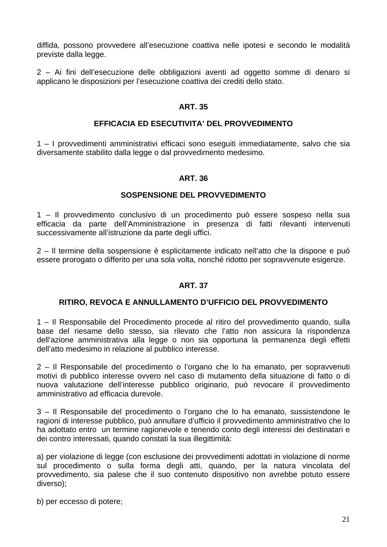<span id="page-20-0"></span>diffida, possono provvedere all'esecuzione coattiva nelle ipotesi e secondo le modalità previste dalla legge.

2 – Ai fini dell'esecuzione delle obbligazioni aventi ad oggetto somme di denaro si applicano le disposizioni per l'esecuzione coattiva dei crediti dello stato.

#### **ART. 35**

#### **EFFICACIA ED ESECUTIVITA' DEL PROVVEDIMENTO**

1 – I provvedimenti amministrativi efficaci sono eseguiti immediatamente, salvo che sia diversamente stabilito dalla legge o dal provvedimento medesimo.

#### **ART. 36**

#### **SOSPENSIONE DEL PROVVEDIMENTO**

1 – Il provvedimento conclusivo di un procedimento può essere sospeso nella sua efficacia da parte dell'Amministrazione in presenza di fatti rilevanti intervenuti successivamente all'istruzione da parte degli uffici.

2 – Il termine della sospensione è esplicitamente indicato nell'atto che la dispone e può essere prorogato o differito per una sola volta, nonché ridotto per sopravvenute esigenze.

#### **ART. 37**

#### **RITIRO, REVOCA E ANNULLAMENTO D'UFFICIO DEL PROVVEDIMENTO**

1 – Il Responsabile del Procedimento procede al ritiro del provvedimento quando, sulla base del riesame dello stesso, sia rilevato che l'atto non assicura la rispondenza dell'azione amministrativa alla legge o non sia opportuna la permanenza degli effetti dell'atto medesimo in relazione al pubblico interesse.

2 – Il Responsabile del procedimento o l'organo che lo ha emanato, per sopravvenuti motivi di pubblico interesse ovvero nel caso di mutamento della situazione di fatto o di nuova valutazione dell'interesse pubblico originario, può revocare il provvedimento amministrativo ad efficacia durevole.

3 – Il Responsabile del procedimento o l'organo che lo ha emanato, sussistendone le ragioni di interesse pubblico, può annullare d'ufficio il provvedimento amministrativo che lo ha adottato entro un termine ragionevole e tenendo conto degli interessi dei destinatari e dei contro interessati, quando constati la sua illegittimità:

a) per violazione di legge (con esclusione dei provvedimenti adottati in violazione di norme sul procedimento o sulla forma degli atti, quando, per la natura vincolata del provvedimento, sia palese che il suo contenuto dispositivo non avrebbe potuto essere diverso);

b) per eccesso di potere;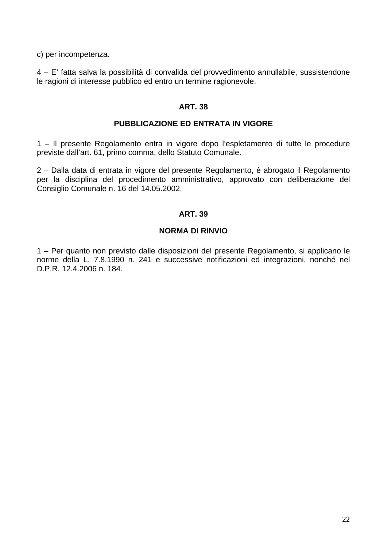<span id="page-21-0"></span>c) per incompetenza.

4 – E' fatta salva la possibilità di convalida del provvedimento annullabile, sussistendone le ragioni di interesse pubblico ed entro un termine ragionevole.

#### **ART. 38**

#### **PUBBLICAZIONE ED ENTRATA IN VIGORE**

1 – Il presente Regolamento entra in vigore dopo l'espletamento di tutte le procedure previste dall'art. 61, primo comma, dello Statuto Comunale.

2 – Dalla data di entrata in vigore del presente Regolamento, è abrogato il Regolamento per la disciplina del procedimento amministrativo, approvato con deliberazione del Consiglio Comunale n. 16 del 14.05.2002.

#### **ART. 39**

#### **NORMA DI RINVIO**

1 – Per quanto non previsto dalle disposizioni del presente Regolamento, si applicano le norme della L. 7.8.1990 n. 241 e successive notificazioni ed integrazioni, nonché nel D.P.R. 12.4.2006 n. 184.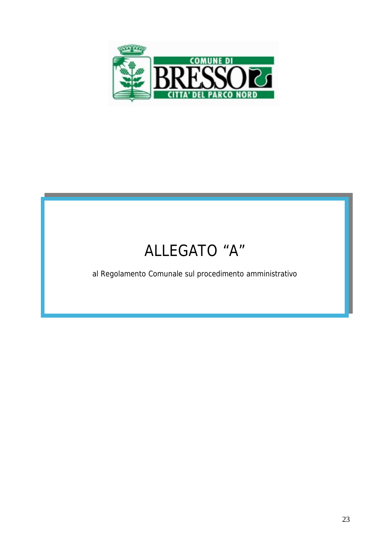

# ALLEGATO "A"

al Regolamento Comunale sul procedimento amministrativo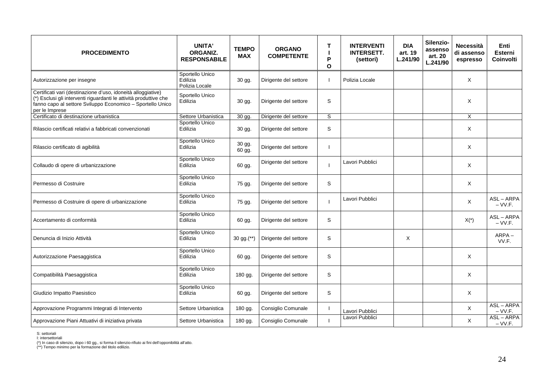| <b>PROCEDIMENTO</b>                                                                                                                                                                                               | <b>UNITA'</b><br>ORGANIZ.<br><b>RESPONSABILE</b> | <b>TEMPO</b><br><b>MAX</b> | <b>ORGANO</b><br><b>COMPETENTE</b> | Т<br>P<br>$\Omega$ | <b>INTERVENTI</b><br><b>INTERSETT.</b><br>(settori) | <b>DIA</b><br>art. 19<br>L.241/90 | Silenzio-<br>assenso<br>art. 20<br>L.241/90 | <b>Necessità</b><br>di assenso<br>espresso | Enti<br>Esterni<br><b>Coinvolti</b> |
|-------------------------------------------------------------------------------------------------------------------------------------------------------------------------------------------------------------------|--------------------------------------------------|----------------------------|------------------------------------|--------------------|-----------------------------------------------------|-----------------------------------|---------------------------------------------|--------------------------------------------|-------------------------------------|
| Autorizzazione per insegne                                                                                                                                                                                        | Sportello Unico<br>Edilizia<br>Polizia Locale    | 30 gg.                     | Dirigente del settore              |                    | Polizia Locale                                      |                                   |                                             | X                                          |                                     |
| Certificati vari (destinazione d'uso, idoneità alloggiative)<br>(*) Esclusi gli interventi riguardanti le attività produttive che<br>fanno capo al settore Sviluppo Economico - Sportello Unico<br>per le Imprese | Sportello Unico<br>Edilizia                      | 30 gg.                     | Dirigente del settore              | S                  |                                                     |                                   |                                             | X                                          |                                     |
| Certificato di destinazione urbanistica                                                                                                                                                                           | Settore Urbanistica                              | 30 gg.                     | Dirigente del settore              | S                  |                                                     |                                   |                                             | X                                          |                                     |
| Rilascio certificati relativi a fabbricati convenzionati                                                                                                                                                          | Sportello Unico<br>Edilizia                      | 30 gg.                     | Dirigente del settore              | S                  |                                                     |                                   |                                             | X                                          |                                     |
| Rilascio certificato di agibilità                                                                                                                                                                                 | Sportello Unico<br>Edilizia                      | 30 gg.<br>60 gg.           | Dirigente del settore              |                    |                                                     |                                   |                                             | X                                          |                                     |
| Collaudo di opere di urbanizzazione                                                                                                                                                                               | Sportello Unico<br>Edilizia                      | 60 gg.                     | Dirigente del settore              |                    | Lavori Pubblici                                     |                                   |                                             | X                                          |                                     |
| Permesso di Costruire                                                                                                                                                                                             | Sportello Unico<br>Edilizia                      | 75 gg.                     | Dirigente del settore              | S                  |                                                     |                                   |                                             | Χ                                          |                                     |
| Permesso di Costruire di opere di urbanizzazione                                                                                                                                                                  | Sportello Unico<br>Edilizia                      | 75 gg.                     | Dirigente del settore              |                    | Lavori Pubblici                                     |                                   |                                             | X                                          | ASL-ARPA<br>$-VV.F.$                |
| Accertamento di conformità                                                                                                                                                                                        | Sportello Unico<br>Edilizia                      | 60 gg.                     | Dirigente del settore              | S                  |                                                     |                                   |                                             | $X(*)$                                     | ASL-ARPA<br>$-VV.F.$                |
| Denuncia di Inizio Attività                                                                                                                                                                                       | Sportello Unico<br>Edilizia                      | 30 gg.(**)                 | Dirigente del settore              | S                  |                                                     | $\times$                          |                                             |                                            | ARPA-<br>VV.F.                      |
| Autorizzazione Paesaggistica                                                                                                                                                                                      | Sportello Unico<br>Edilizia                      | 60 gg.                     | Dirigente del settore              | S                  |                                                     |                                   |                                             | X                                          |                                     |
| Compatibilità Paesaggistica                                                                                                                                                                                       | Sportello Unico<br>Edilizia                      | 180 gg.                    | Dirigente del settore              | S                  |                                                     |                                   |                                             | X                                          |                                     |
| Giudizio Impatto Paesistico                                                                                                                                                                                       | Sportello Unico<br>Edilizia                      | 60 gg.                     | Dirigente del settore              | S                  |                                                     |                                   |                                             | X                                          |                                     |
| Approvazione Programmi Integrati di Intervento                                                                                                                                                                    | Settore Urbanistica                              | 180 gg.                    | Consiglio Comunale                 |                    | Lavori Pubblici                                     |                                   |                                             | X                                          | ASL-ARPA<br>$-VV.F.$                |
| Approvazione Piani Attuativi di iniziativa privata                                                                                                                                                                | Settore Urbanistica                              | 180 gg.                    | Consiglio Comunale                 | $\mathbf{I}$       | Lavori Pubblici                                     |                                   |                                             | X                                          | ASL-ARPA<br>$-VV.F.$                |

S: settoriali<br>l: intersettoriali<br>(\*\*) n caso di silenzio, dopo i 60 gg., si forma il silenzio-rifiuto ai fini dell'opponibilità all'atto.<br>(\*\*) Tempo minimo per la formazione del titolo edilizio.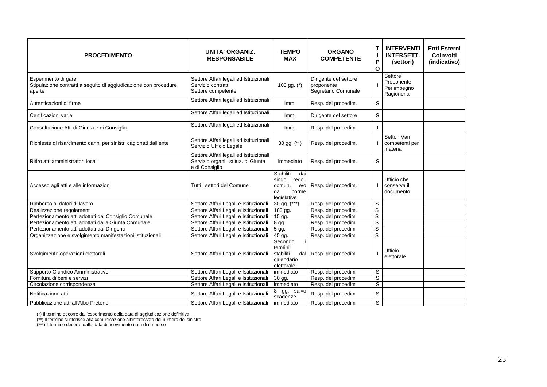| <b>PROCEDIMENTO</b>                                                                               | <b>UNITA' ORGANIZ.</b><br><b>RESPONSABILE</b>                                                  | <b>TEMPO</b><br><b>MAX</b>                                                        | <b>ORGANO</b><br><b>COMPETENTE</b>                         | Τ<br>$\blacksquare$<br>P<br>O | <b>INTERVENTI</b><br><b>INTERSETT.</b><br>(settori) | <b>Enti Esterni</b><br>Coinvolti<br>(indicativo) |
|---------------------------------------------------------------------------------------------------|------------------------------------------------------------------------------------------------|-----------------------------------------------------------------------------------|------------------------------------------------------------|-------------------------------|-----------------------------------------------------|--------------------------------------------------|
| Esperimento di gare<br>Stipulazione contratti a seguito di aggiudicazione con procedure<br>aperte | Settore Affari legali ed Istituzionali<br>Servizio contratti<br>Settore competente             | 100 gg. (*)                                                                       | Dirigente del settore<br>proponente<br>Segretario Comunale |                               | Settore<br>Proponente<br>Per impegno<br>Ragioneria  |                                                  |
| Autenticazioni di firme                                                                           | Settore Affari legali ed Istituzionali                                                         | Imm.                                                                              | Resp. del procedim.                                        | S                             |                                                     |                                                  |
| Certificazioni varie                                                                              | Settore Affari legali ed Istituzionali                                                         | Imm.                                                                              | Dirigente del settore                                      | S                             |                                                     |                                                  |
| Consultazione Atti di Giunta e di Consiglio                                                       | Settore Affari legali ed Istituzionali                                                         | Imm.                                                                              | Resp. del procedim.                                        |                               |                                                     |                                                  |
| Richieste di risarcimento danni per sinistri cagionati dall'ente                                  | Settore Affari legali ed Istituzionali<br>Servizio Ufficio Legale                              | 30 gg. $(**)$                                                                     | Resp. del procedim.                                        |                               | Settori Vari<br>competenti per<br>materia           |                                                  |
| Ritiro atti amministratori locali                                                                 | Settore Affari legali ed Istituzionali<br>Servizio organi istituz. di Giunta<br>e di Consiglio | immediato                                                                         | Resp. del procedim.                                        | S                             |                                                     |                                                  |
| Accesso agli atti e alle informazioni                                                             | Tutti i settori del Comune                                                                     | Stabiliti<br>dai<br>singoli regol.<br>comun.<br>e/o<br>norme<br>da<br>legislative | Resp. del procedim.                                        |                               | Ufficio che<br>conserva il<br>documento             |                                                  |
| Rimborso ai datori di lavoro                                                                      | Settore Affari Legali e Istituzionali                                                          | $30$ gg. $(***)$                                                                  | Resp. del procedim.                                        | S                             |                                                     |                                                  |
| Realizzazione regolamenti                                                                         | Settore Affari Legali e Istituzionali                                                          | 180 gg.                                                                           | Resp. del procedim.                                        | $\overline{s}$                |                                                     |                                                  |
| Perfezionamento atti adottati dal Consiglio Comunale                                              | Settore Affari Legali e Istituzionali                                                          | $\overline{15}$ gg.                                                               | Resp. del procedim                                         | $\overline{s}$                |                                                     |                                                  |
| Perfezionamento atti adottati dalla Giunta Comunale                                               | Settore Affari Legali e Istituzionali                                                          | 8 gg.                                                                             | Resp. del procedim                                         | $\overline{s}$                |                                                     |                                                  |
| Perfezionamento atti adottati dai Dirigenti                                                       | Settore Affari Legali e Istituzionali                                                          | 5 gg.                                                                             | Resp. del procedim                                         | $\overline{s}$                |                                                     |                                                  |
| Organizzazione e svolgimento manifestazioni istituzionali                                         | Settore Affari Legali e Istituzionali                                                          | 45 gg.                                                                            | Resp. del procedim                                         | S                             |                                                     |                                                  |
| Svolgimento operazioni elettorali                                                                 | Settore Affari Legali e Istituzionali                                                          | Secondo<br>termini<br>stabiliti<br>dal<br>calendario<br>elettorale                | Resp. del procedim                                         |                               | Ufficio<br>elettorale                               |                                                  |
| Supporto Giuridico Amministrativo                                                                 | Settore Affari Legali e Istituzionali                                                          | immediato                                                                         | Resp. del procedim                                         | S                             |                                                     |                                                  |
| Fornitura di beni e servizi                                                                       | Settore Affari Legali e Istituzionali                                                          | 30 gg.                                                                            | Resp. del procedim                                         | S                             |                                                     |                                                  |
| Circolazione corrispondenza                                                                       | Settore Affari Legali e Istituzionali                                                          | immediato                                                                         | Resp. del procedim                                         | S                             |                                                     |                                                  |
| Notificazione atti                                                                                | Settore Affari Legali e Istituzionali                                                          | $8$ gg. salvo<br>scadenze                                                         | Resp. del procedim                                         | S                             |                                                     |                                                  |
| Pubblicazione atti all'Albo Pretorio                                                              | Settore Affari Legali e Istituzionali                                                          | immediato                                                                         | Resp. del procedim                                         | S                             |                                                     |                                                  |

(\*) Il termine decorre dall'esperimento della data di aggiudicazione definitiva

(\*\*) Il termine si riferisce alla comunicazione all'interessato del numero del sinistro

(\*\*\*) il termine decorre dalla data di ricevimento nota di rimborso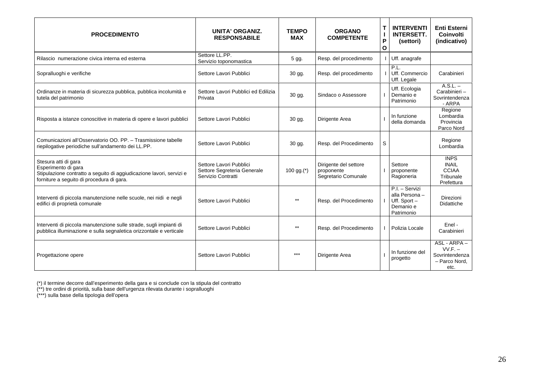| <b>PROCEDIMENTO</b>                                                                                                                                              | <b>UNITA' ORGANIZ.</b><br><b>RESPONSABILE</b>                                | <b>TEMPO</b><br><b>MAX</b> | <b>ORGANO</b><br><b>COMPETENTE</b>                         | T<br>P<br>$\mathbf{o}$ | <b>INTERVENTI</b><br><b>INTERSETT.</b><br>(settori)                           | <b>Enti Esterni</b><br>Coinvolti<br>(indicativo)                       |
|------------------------------------------------------------------------------------------------------------------------------------------------------------------|------------------------------------------------------------------------------|----------------------------|------------------------------------------------------------|------------------------|-------------------------------------------------------------------------------|------------------------------------------------------------------------|
| Rilascio numerazione civica interna ed esterna                                                                                                                   | Settore LL.PP.<br>Servizio toponomastica                                     | 5 gg.                      | Resp. del procedimento                                     |                        | Uff. anagrafe                                                                 |                                                                        |
| Sopralluoghi e verifiche                                                                                                                                         | Settore Lavori Pubblici                                                      | 30 gg.                     | Resp. del procedimento                                     |                        | PL.<br>Uff. Commercio<br>Uff. Legale                                          | Carabinieri                                                            |
| Ordinanze in materia di sicurezza pubblica, pubblica incolumità e<br>tutela del patrimonio                                                                       | Settore Lavori Pubblici ed Edilizia<br>Privata                               | 30 gg.                     | Sindaco o Assessore                                        |                        | Uff. Ecologia<br>Demanio e<br>Patrimonio                                      | $A.S.L. -$<br>Carabinieri-<br>Sovrintendenza<br>- ARPA                 |
| Risposta a istanze conoscitive in materia di opere e lavori pubblici                                                                                             | Settore Lavori Pubblici                                                      | 30 gg.                     | Dirigente Area                                             |                        | In funzione<br>della domanda                                                  | Regione<br>Lombardia<br>Provincia<br>Parco Nord                        |
| Comunicazioni all'Osservatorio OO, PP. - Trasmissione tabelle<br>riepilogative periodiche sull'andamento dei LL.PP.                                              | Settore Lavori Pubblici                                                      | 30 gg.                     | Resp. del Procedimento                                     | S                      |                                                                               | Regione<br>Lombardia                                                   |
| Stesura atti di gara<br>Esperimento di gara<br>Stipulazione contratto a seguito di aggiudicazione lavori, servizi e<br>forniture a seguito di procedura di gara. | Settore Lavori Pubblici<br>Settore Segreteria Generale<br>Servizio Contratti | 100 gg.(*)                 | Dirigente del settore<br>proponente<br>Segretario Comunale |                        | Settore<br>proponente<br>Ragioneria                                           | <b>INPS</b><br><b>INAIL</b><br><b>CCIAA</b><br>Tribunale<br>Prefettura |
| Interventi di piccola manutenzione nelle scuole, nei nidi e negli<br>edifici di proprietà comunale                                                               | Settore Lavori Pubblici                                                      | $***$                      | Resp. del Procedimento                                     |                        | P.I. - Servizi<br>alla Persona -<br>Uff. Sport $-$<br>Demanio e<br>Patrimonio | Direzioni<br><b>Didattiche</b>                                         |
| Interventi di piccola manutenzione sulle strade, sugli impianti di<br>pubblica illuminazione e sulla segnaletica orizzontale e verticale                         | Settore Lavori Pubblici                                                      | $***$                      | Resp. del Procedimento                                     |                        | Polizia Locale                                                                | Enel -<br>Carabinieri                                                  |
| Progettazione opere                                                                                                                                              | Settore Lavori Pubblici                                                      | ***                        | Dirigente Area                                             |                        | In funzione del<br>progetto                                                   | ASL - ARPA -<br>$VV.F. -$<br>Sovrintendenza<br>- Parco Nord.<br>etc.   |

(\*) il termine decorre dall'esperimento della gara e si conclude con la stipula del contratto

(\*\*) tre ordini di priorità, sulla base dell'urgenza rilevata durante i sopralluoghi

(\*\*\*) sulla base della tipologia dell'opera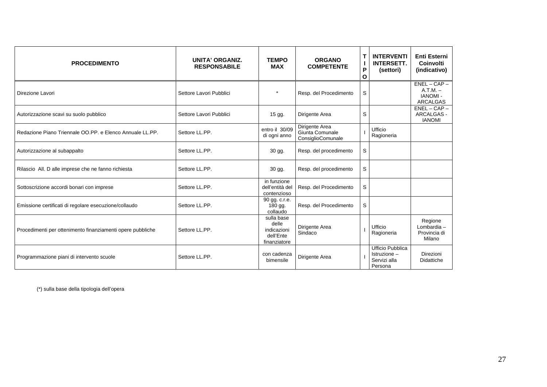| <b>PROCEDIMENTO</b>                                        | <b>UNITA' ORGANIZ.</b><br><b>RESPONSABILE</b> | <b>TEMPO</b><br><b>MAX</b>                                      | <b>ORGANO</b><br><b>COMPETENTE</b>                     | Т<br>P<br>$\mathbf{o}$ | <b>INTERVENTI</b><br><b>INTERSETT.</b><br>(settori)                | <b>Enti Esterni</b><br><b>Coinvolti</b><br>(indicativo)        |
|------------------------------------------------------------|-----------------------------------------------|-----------------------------------------------------------------|--------------------------------------------------------|------------------------|--------------------------------------------------------------------|----------------------------------------------------------------|
| Direzione Lavori                                           | Settore Lavori Pubblici                       | $\star$                                                         | Resp. del Procedimento                                 | S                      |                                                                    | $ENEL-CAP-$<br>$A.T.M. -$<br><b>IANOMI-</b><br><b>ARCALGAS</b> |
| Autorizzazione scavi su suolo pubblico                     | Settore Lavori Pubblici                       | $15$ gg.                                                        | Dirigente Area                                         | S                      |                                                                    | $ENEL-CAP-$<br>ARCALGAS -<br><b>IANOMI</b>                     |
| Redazione Piano Triennale OO.PP, e Elenco Annuale LL.PP.   | Settore LL.PP.                                | entro il 30/09<br>di ogni anno                                  | Dirigente Area<br>Giunta Comunale<br>ConsiglioComunale |                        | Ufficio<br>Ragioneria                                              |                                                                |
| Autorizzazione al subappalto                               | Settore LL.PP.                                | 30 gg.                                                          | Resp. del procedimento                                 | S                      |                                                                    |                                                                |
| Rilascio All. D alle imprese che ne fanno richiesta        | Settore LL.PP.                                | 30 gg.                                                          | Resp. del procedimento                                 | S                      |                                                                    |                                                                |
| Sottoscrizione accordi bonari con imprese                  | Settore LL.PP.                                | in funzione<br>dell'entità del<br>contenzioso                   | Resp. del Procedimento                                 | S                      |                                                                    |                                                                |
| Emissione certificati di regolare esecuzione/collaudo      | Settore LL.PP.                                | 90 gg. c.r.e.<br>180 gg.<br>collaudo                            | Resp. del Procedimento                                 | S                      |                                                                    |                                                                |
| Procedimenti per ottenimento finanziamenti opere pubbliche | Settore LL.PP.                                | sulla base<br>delle<br>indicazioni<br>dell'Ente<br>finanziatore | Dirigente Area<br>Sindaco                              |                        | Ufficio<br>Ragioneria                                              | Regione<br>Lombardia $-$<br>Provincia di<br>Milano             |
| Programmazione piani di intervento scuole                  | Settore LL.PP.                                | con cadenza<br>bimensile                                        | Dirigente Area                                         |                        | <b>Ufficio Pubblica</b><br>Istruzione -<br>Servizi alla<br>Persona | Direzioni<br>Didattiche                                        |

(\*) sulla base della tipologia dell'opera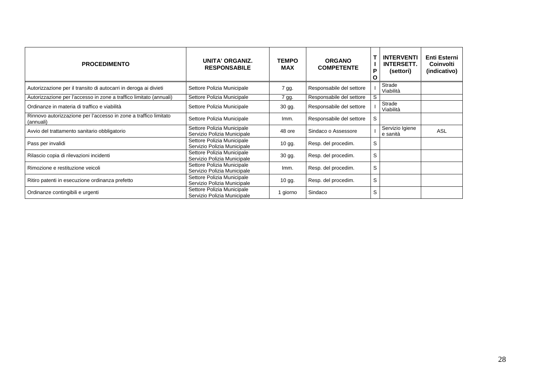| <b>PROCEDIMENTO</b>                                                           | UNITA' ORGANIZ.<br><b>RESPONSABILE</b>                    | <b>TEMPO</b><br><b>MAX</b> | <b>ORGANO</b><br><b>COMPETENTE</b> | P<br>O | <b>INTERVENTI</b><br><b>INTERSETT.</b><br>(settori) | Enti Esterni<br>Coinvolti<br>(indicativo) |
|-------------------------------------------------------------------------------|-----------------------------------------------------------|----------------------------|------------------------------------|--------|-----------------------------------------------------|-------------------------------------------|
| Autorizzazione per il transito di autocarri in deroga ai divieti              | Settore Polizia Municipale                                | 7 gg.                      | Responsabile del settore           |        | Strade<br>Viabilità                                 |                                           |
| Autorizzazione per l'accesso in zone a traffico limitato (annuali)            | Settore Polizia Municipale                                | 7 gg.                      | Responsabile del settore           | S      |                                                     |                                           |
| Ordinanze in materia di traffico e viabilità                                  | Settore Polizia Municipale                                | 30 gg.                     | Responsabile del settore           |        | Strade<br>Viabilità                                 |                                           |
| Rinnovo autorizzazione per l'accesso in zone a traffico limitato<br>(annuali) | Settore Polizia Municipale                                | Imm.                       | Responsabile del settore           | S      |                                                     |                                           |
| Avvio del trattamento sanitario obbligatorio                                  | Settore Polizia Municipale<br>Servizio Polizia Municipale | 48 ore                     | Sindaco o Assessore                |        | Servizio Igiene<br>e sanità                         | <b>ASL</b>                                |
| Pass per invalidi                                                             | Settore Polizia Municipale<br>Servizio Polizia Municipale | 10 gg.                     | Resp. del procedim.                | S      |                                                     |                                           |
| Rilascio copia di rilevazioni incidenti                                       | Settore Polizia Municipale<br>Servizio Polizia Municipale | 30 gg.                     | Resp. del procedim.                | S      |                                                     |                                           |
| Rimozione e restituzione veicoli                                              | Settore Polizia Municipale<br>Servizio Polizia Municipale | Imm.                       | Resp. del procedim.                | S      |                                                     |                                           |
| Ritiro patenti in esecuzione ordinanza prefetto                               | Settore Polizia Municipale<br>Servizio Polizia Municipale | 10 gg.                     | Resp. del procedim.                | S      |                                                     |                                           |
| Ordinanze contingibili e urgenti                                              | Settore Polizia Municipale<br>Servizio Polizia Municipale | 1 giorno                   | Sindaco                            | S      |                                                     |                                           |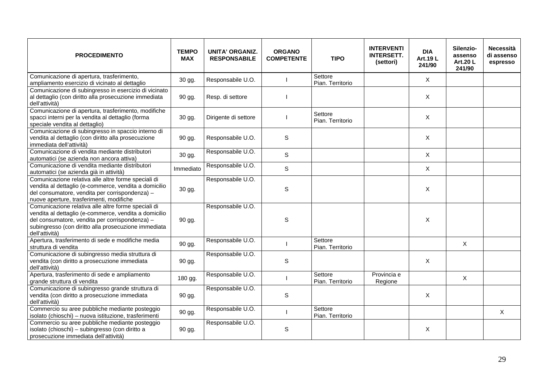| <b>PROCEDIMENTO</b>                                                                                                                                                                                                                      | <b>TEMPO</b><br><b>MAX</b> | UNITA' ORGANIZ.<br><b>RESPONSABILE</b> | <b>ORGANO</b><br><b>COMPETENTE</b> | <b>TIPO</b>                 | <b>INTERVENTI</b><br><b>INTERSETT.</b><br>(settori) | <b>DIA</b><br>Art.19 L<br>241/90 | Silenzio-<br>assenso<br><b>Art.20 L</b><br>241/90 | <b>Necessità</b><br>di assenso<br>espresso |
|------------------------------------------------------------------------------------------------------------------------------------------------------------------------------------------------------------------------------------------|----------------------------|----------------------------------------|------------------------------------|-----------------------------|-----------------------------------------------------|----------------------------------|---------------------------------------------------|--------------------------------------------|
| Comunicazione di apertura, trasferimento,<br>ampliamento esercizio di vicinato al dettaglio                                                                                                                                              | 30 gg.                     | Responsabile U.O.                      |                                    | Settore<br>Pian. Territorio |                                                     | $\mathsf{X}$                     |                                                   |                                            |
| Comunicazione di subingresso in esercizio di vicinato<br>al dettaglio (con diritto alla prosecuzione immediata<br>dell'attività)                                                                                                         | 90 gg.                     | Resp. di settore                       |                                    |                             |                                                     | X                                |                                                   |                                            |
| Comunicazione di apertura, trasferimento, modifiche<br>spacci interni per la vendita al dettaglio (forma<br>speciale vendita al dettaglio)                                                                                               | 30 gg.                     | Dirigente di settore                   |                                    | Settore<br>Pian. Territorio |                                                     | X                                |                                                   |                                            |
| Comunicazione di subingresso in spaccio interno di<br>vendita al dettaglio (con diritto alla prosecuzione<br>immediata dell'attività)                                                                                                    | 90 gg.                     | Responsabile U.O.                      | $\mathbb S$                        |                             |                                                     | X                                |                                                   |                                            |
| Comunicazione di vendita mediante distributori<br>automatici (se azienda non ancora attiva)                                                                                                                                              | 30 gg.                     | Responsabile U.O.                      | $\mathbf S$                        |                             |                                                     | X                                |                                                   |                                            |
| Comunicazione di vendita mediante distributori<br>automatici (se azienda già in attività)                                                                                                                                                | Immediato                  | Responsabile U.O.                      | $\mathsf S$                        |                             |                                                     | X                                |                                                   |                                            |
| Comunicazione relativa alle altre forme speciali di<br>vendita al dettaglio (e-commerce, vendita a domicilio<br>del consumatore, vendita per corrispondenza) -<br>nuove aperture, trasferimenti, modifiche                               | 30 gg.                     | Responsabile U.O.                      | $\mathbf S$                        |                             |                                                     | X                                |                                                   |                                            |
| Comunicazione relativa alle altre forme speciali di<br>vendita al dettaglio (e-commerce, vendita a domicilio<br>del consumatore, vendita per corrispondenza) -<br>subingresso (con diritto alla prosecuzione immediata<br>dell'attività) | 90 gg.                     | Responsabile U.O.                      | $\mathsf S$                        |                             |                                                     | $\mathsf{X}$                     |                                                   |                                            |
| Apertura, trasferimento di sede e modifiche media<br>struttura di vendita                                                                                                                                                                | 90 gg.                     | Responsabile U.O.                      |                                    | Settore<br>Pian. Territorio |                                                     |                                  | X                                                 |                                            |
| Comunicazione di subingresso media struttura di<br>vendita (con diritto a prosecuzione immediata<br>dell'attività)                                                                                                                       | 90 gg.                     | Responsabile U.O.                      | $\mathbb S$                        |                             |                                                     | X                                |                                                   |                                            |
| Apertura, trasferimento di sede e ampliamento<br>grande struttura di vendita                                                                                                                                                             | 180 gg.                    | Responsabile U.O.                      |                                    | Settore<br>Pian. Territorio | Provincia e<br>Regione                              |                                  | X                                                 |                                            |
| Comunicazione di subingresso grande struttura di<br>vendita (con diritto a prosecuzione immediata<br>dell'attività)                                                                                                                      | 90 gg.                     | Responsabile U.O.                      | $\mathbb S$                        |                             |                                                     | X                                |                                                   |                                            |
| Commercio su aree pubbliche mediante posteggio<br>isolato (chioschi) - nuova istituzione, trasferimenti                                                                                                                                  | 90 gg.                     | Responsabile U.O.                      |                                    | Settore<br>Pian. Territorio |                                                     |                                  |                                                   | X                                          |
| Commercio su aree pubbliche mediante posteggio<br>isolato (chioschi) - subingresso (con diritto a<br>prosecuzione immediata dell'attività)                                                                                               | 90 gg.                     | Responsabile U.O.                      | S                                  |                             |                                                     | $\times$                         |                                                   |                                            |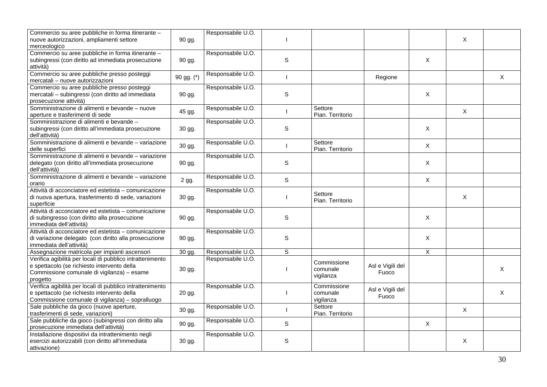| Commercio su aree pubbliche in forma itinerante -         |            | Responsabile U.O. |             |                  |                  |                           |              |              |
|-----------------------------------------------------------|------------|-------------------|-------------|------------------|------------------|---------------------------|--------------|--------------|
|                                                           |            |                   |             |                  |                  |                           | X            |              |
| nuove autorizzazioni, ampliamenti settore                 | 90 gg.     |                   |             |                  |                  |                           |              |              |
| merceologico                                              |            |                   |             |                  |                  |                           |              |              |
| Commercio su aree pubbliche in forma itinerante -         |            | Responsabile U.O. |             |                  |                  |                           |              |              |
| subingressi (con diritto ad immediata prosecuzione        | 90 gg.     |                   | $\mathbf S$ |                  |                  | X                         |              |              |
| attività)                                                 |            |                   |             |                  |                  |                           |              |              |
| Commercio su aree pubbliche presso posteggi               |            | Responsabile U.O. |             |                  |                  |                           |              |              |
| mercatali - nuove autorizzazioni                          | 90 gg. (*) |                   |             |                  | Regione          |                           |              | $\mathsf{X}$ |
| Commercio su aree pubbliche presso posteggi               |            | Responsabile U.O. |             |                  |                  |                           |              |              |
| mercatali - subingressi (con diritto ad immediata         | 90 gg.     |                   | $\mathsf S$ |                  |                  | X                         |              |              |
| prosecuzione attività)                                    |            |                   |             |                  |                  |                           |              |              |
| Somministrazione di alimenti e bevande - nuove            |            | Responsabile U.O. |             | Settore          |                  |                           |              |              |
|                                                           | 45 gg.     |                   |             | Pian. Territorio |                  |                           | $\mathsf{X}$ |              |
| aperture e trasferimenti di sede                          |            |                   |             |                  |                  |                           |              |              |
| Somministrazione di alimenti e bevande -                  |            | Responsabile U.O. |             |                  |                  |                           |              |              |
| subingressi (con diritto all'immediata prosecuzione       | 30 gg.     |                   | $\mathsf S$ |                  |                  | X                         |              |              |
| dell'attività)                                            |            |                   |             |                  |                  |                           |              |              |
| Somministrazione di alimenti e bevande - variazione       | 30 gg.     | Responsabile U.O. |             | Settore          |                  | $\pmb{\times}$            |              |              |
| delle superfici                                           |            |                   |             | Pian. Territorio |                  |                           |              |              |
| Somministrazione di alimenti e bevande - variazione       |            | Responsabile U.O. |             |                  |                  |                           |              |              |
| delegato (con diritto all'immediata prosecuzione          | 90 gg.     |                   | $\mathbb S$ |                  |                  | $\boldsymbol{\mathsf{X}}$ |              |              |
| dell'attività)                                            |            |                   |             |                  |                  |                           |              |              |
| Somministrazione di alimenti e bevande - variazione       |            | Responsabile U.O. |             |                  |                  |                           |              |              |
| orario                                                    | 2 gg.      |                   | $\mathsf S$ |                  |                  | X                         |              |              |
| Attività di acconciatore ed estetista - comunicazione     |            | Responsabile U.O. |             |                  |                  |                           |              |              |
| di nuova apertura, trasferimento di sede, variazioni      | 30 gg.     |                   |             | Settore          |                  |                           | X            |              |
| superficie                                                |            |                   |             | Pian. Territorio |                  |                           |              |              |
| Attività di acconciatore ed estetista - comunicazione     |            | Responsabile U.O. |             |                  |                  |                           |              |              |
|                                                           |            |                   | $\mathsf S$ |                  |                  | X                         |              |              |
| di subingresso (con diritto alla prosecuzione             | 90 gg.     |                   |             |                  |                  |                           |              |              |
| immediata dell'attività)                                  |            |                   |             |                  |                  |                           |              |              |
| Attività di acconciatore ed estetista - comunicazione     |            | Responsabile U.O. |             |                  |                  |                           |              |              |
| di variazione delegato (con diritto alla prosecuzione     | 90 gg.     |                   | S           |                  |                  | X                         |              |              |
| immediata dell'attività)                                  |            |                   |             |                  |                  |                           |              |              |
| Assegnazione matricola per impianti ascensori             | 30 gg.     | Responsabile U.O. | S           |                  |                  | X                         |              |              |
| Verifica agibilità per locali di pubblico intrattenimento |            | Responsabile U.O. |             | Commissione      |                  |                           |              |              |
| e spettacolo (se richiesto intervento della               |            |                   |             | comunale         | Asl e Vigili del |                           |              | X            |
| Commissione comunale di vigilanza) - esame                | 30 gg.     |                   |             |                  | Fuoco            |                           |              |              |
| progetto                                                  |            |                   |             | vigilanza        |                  |                           |              |              |
| Verifica agibilità per locali di pubblico intrattenimento |            | Responsabile U.O. |             | Commissione      |                  |                           |              |              |
| e spettacolo (se richiesto intervento della               | 20 gg.     |                   |             | comunale         | Asl e Vigili del |                           |              | X            |
| Commissione comunale di vigilanza) - sopralluogo          |            |                   |             | vigilanza        | Fuoco            |                           |              |              |
| Sale pubbliche da gioco (nuove aperture,                  |            | Responsabile U.O. |             | Settore          |                  |                           |              |              |
| trasferimenti di sede, variazioni)                        | 30 gg.     |                   |             | Pian. Territorio |                  |                           | $\mathsf{X}$ |              |
| Sale pubbliche da gioco (subingressi con diritto alla     |            | Responsabile U.O. |             |                  |                  |                           |              |              |
|                                                           | 90 gg.     |                   | S           |                  |                  | X                         |              |              |
| prosecuzione immediata dell'attività)                     |            |                   |             |                  |                  |                           |              |              |
| Installazione dispositivi da intrattenimento negli        |            | Responsabile U.O. |             |                  |                  |                           |              |              |
| esercizi autorizzabili (con diritto all'immediata         | 30 gg.     |                   | $\mathbb S$ |                  |                  |                           | X            |              |
| attivazione)                                              |            |                   |             |                  |                  |                           |              |              |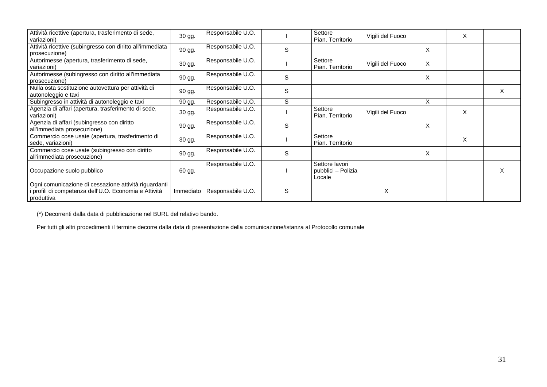| Attività ricettive (apertura, trasferimento di sede,<br>variazioni)                                                          | 30 gg.    | Responsabile U.O. |   | Settore<br>Pian. Territorio                    | Vigili del Fuoco |   | X |   |
|------------------------------------------------------------------------------------------------------------------------------|-----------|-------------------|---|------------------------------------------------|------------------|---|---|---|
| Attività ricettive (subingresso con diritto all'immediata<br>prosecuzione)                                                   | 90 gg.    | Responsabile U.O. | S |                                                |                  | X |   |   |
| Autorimesse (apertura, trasferimento di sede,<br>variazioni)                                                                 | 30 gg.    | Responsabile U.O. |   | Settore<br>Pian. Territorio                    | Vigili del Fuoco | X |   |   |
| Autorimesse (subingresso con diritto all'immediata<br>prosecuzione)                                                          | 90 gg.    | Responsabile U.O. | S |                                                |                  | X |   |   |
| Nulla osta sostituzione autovettura per attività di<br>autonoleggio e taxi                                                   | 90 gg.    | Responsabile U.O. | S |                                                |                  |   |   | X |
| Subingresso in attività di autonoleggio e taxi                                                                               | 90 gg.    | Responsabile U.O. | S |                                                |                  | X |   |   |
| Agenzia di affari (apertura, trasferimento di sede,<br>variazioni)                                                           | 30 gg.    | Responsabile U.O. |   | Settore<br>Pian. Territorio                    | Vigili del Fuoco |   | X |   |
| Agenzia di affari (subingresso con diritto<br>all'immediata prosecuzione)                                                    | 90 gg.    | Responsabile U.O. | S |                                                |                  | X |   |   |
| Commercio cose usate (apertura, trasferimento di<br>sede, variazioni)                                                        | 30 gg.    | Responsabile U.O. |   | Settore<br>Pian. Territorio                    |                  |   | X |   |
| Commercio cose usate (subingresso con diritto<br>all'immediata prosecuzione)                                                 | 90 gg.    | Responsabile U.O. | S |                                                |                  | X |   |   |
| Occupazione suolo pubblico                                                                                                   | 60 gg.    | Responsabile U.O. |   | Settore lavori<br>pubblici - Polizia<br>Locale |                  |   |   | X |
| Ogni comunicazione di cessazione attività riguardanti<br>i profili di competenza dell'U.O. Economia e Attività<br>produttiva | Immediato | Responsabile U.O. | S |                                                | X                |   |   |   |

(\*) Decorrenti dalla data di pubblicazione nel BURL del relativo bando.

Per tutti gli altri procedimenti il termine decorre dalla data di presentazione della comunicazione/istanza al Protocollo comunale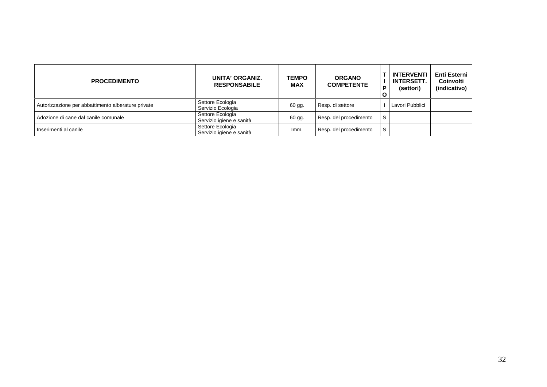| <b>PROCEDIMENTO</b>                                | UNITA' ORGANIZ.<br><b>RESPONSABILE</b>       | <b>TEMPO</b><br><b>MAX</b> | <b>ORGANO</b><br><b>COMPETENTE</b> | D | <b>INTERVENTI</b><br><b>INTERSETT.</b><br>(settori) | Enti Esterni<br>Coinvolti<br>(indicativo) |
|----------------------------------------------------|----------------------------------------------|----------------------------|------------------------------------|---|-----------------------------------------------------|-------------------------------------------|
| Autorizzazione per abbattimento alberature private | Settore Ecologia<br>Servizio Ecologia        | 60 gg.                     | Resp. di settore                   |   | Lavori Pubblici                                     |                                           |
| Adozione di cane dal canile comunale               | Settore Ecologia<br>Servizio igiene e sanità | 60 gg.                     | Resp. del procedimento             | S |                                                     |                                           |
| I Inserimenti al canile                            | Settore Ecologia<br>Servizio igiene e sanità | Imm.                       | Resp. del procedimento             | S |                                                     |                                           |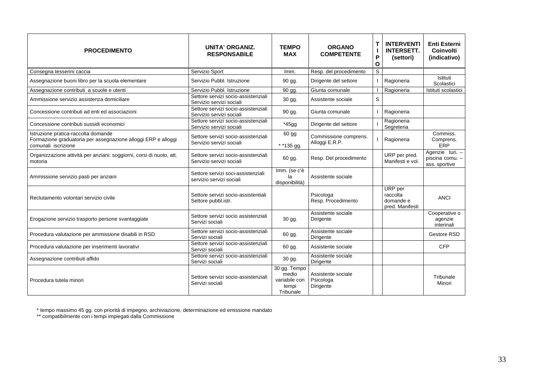| <b>PROCEDIMENTO</b>                                                                                                         | <b>UNITA' ORGANIZ.</b><br><b>RESPONSABILE</b>                   | <b>TEMPO</b><br><b>MAX</b>                                   | <b>ORGANO</b><br><b>COMPETENTE</b>           | $\mathbf{I}$<br>P<br>O | <b>INTERVENTI</b><br><b>INTERSETT.</b><br>(settori) | <b>Enti Esterni</b><br>Coinvolti<br>(indicativo)    |
|-----------------------------------------------------------------------------------------------------------------------------|-----------------------------------------------------------------|--------------------------------------------------------------|----------------------------------------------|------------------------|-----------------------------------------------------|-----------------------------------------------------|
| Consegna tesserini caccia                                                                                                   | Servizio Sport                                                  | Imm.                                                         | Resp. del procedimento                       | S                      |                                                     |                                                     |
| Assegnazione buoni libro per la scuola elementare                                                                           | Servizio Pubbl. Istruzione                                      | 90 gg.                                                       | Dirigente del settore                        |                        | Ragioneria                                          | Istituti<br>Scolastici                              |
| Assegnazione contributi a scuole e utenti                                                                                   | Servizio Pubbl. Istruzione                                      | 90 gg.                                                       | Giunta comunale                              |                        | Ragioneria                                          | Istituti scolastici                                 |
| Ammissione servizio assistenza domiciliare                                                                                  | Settore servizi socio-assistenziali<br>Servizio servizi sociali | 30 gg.                                                       | Assistente sociale                           | $\mathsf S$            |                                                     |                                                     |
| Concessione contributi ad enti ed associazioni                                                                              | Settore servizi socio-assistenziali<br>Servizio servizi sociali | 90 gg.                                                       | Giunta comunale                              |                        | Ragioneria                                          |                                                     |
| Concessione contributi sussidi economici                                                                                    | Settore servizi socio-assistenziali<br>Servizio servizi sociali | *45gg                                                        | Dirigente del settore                        |                        | Ragioneria<br>Segreteria                            |                                                     |
| Istruzione pratica-raccolta domande<br>Formazione graduatoria per assegnazione alloggi ERP e alloggi<br>comunali iscrizione | Settore servizi socio-assistenziali<br>Servizio servizi sociali | 60 gg<br>* *135 gg.                                          | Commissione comprens.<br>Alloggi E.R.P.      |                        | Ragioneria                                          | Commiss.<br>Comprens.<br>ERP                        |
| Organizzazione attività per anziani: soggiorni, corsi di nuoto, att.<br>motoria                                             | Settore servizi socio-assistenziali<br>Servizio servizi sociali | 60 gg.                                                       | Resp. Del procedimento                       |                        | URP per pred.<br>Manifesti e vol.                   | Agenzie turi. -<br>piscina comu. -<br>ass. sportive |
| Ammissione servizio pasti per anziani                                                                                       | Settore servizi soci-assistenziali<br>servizio servizi sociali  | Imm. (se c'è<br>la<br>disponibilità)                         | Assistente sociale                           |                        |                                                     |                                                     |
| Reclutamento volontari servizio civile                                                                                      | Settore servizi socio-assistentiali<br>Settore pubbl.istr.      |                                                              | Psicologa<br>Resp. Procedimento              |                        | URP per<br>raccolta<br>domande e<br>pred. Manifesti | <b>ANCI</b>                                         |
| Erogazione servizio trasporto persone svantaggiate                                                                          | Settore servizi socio assistenziali<br>Servizi sociali          | 30 gg.                                                       | Assistente sociale<br>Dirigente              |                        |                                                     | Cooperative o<br>agenzie<br>interinali              |
| Procedura valutazione per ammissione disabili in RSD                                                                        | Settore servizi socio-assistenziali<br>Servizi sociali          | 60 gg.                                                       | Assistente sociale<br>Dirigente              |                        |                                                     | Gestore RSD                                         |
| Procedura valutazione per inserimenti lavorativi                                                                            | Settore servizi socio-assistenziali<br>Servizi sociali          | 60 gg.                                                       | Assistente sociale                           |                        |                                                     | <b>CFP</b>                                          |
| Assegnazione contributi affido                                                                                              | Settore servizi socio-assistenziali<br>Servizi sociali          | 30 gg.                                                       | Assistente sociale<br>Dirigente              |                        |                                                     |                                                     |
| Procedura tutela minori                                                                                                     | Settore servizi socio-assistenziali<br>Servizi sociali          | 30 gg. Tempo<br>medio<br>variabile con<br>tempi<br>Tribunale | Assistente sociale<br>Psicologa<br>Dirigente |                        |                                                     | Tribunale<br>Minori                                 |

\* tempo massimo 45 gg. con priorità di impegno, archiviazione, determinazione ed emissione mandato

\*\* compatibilmente con i tempi impiegati dalla Commissione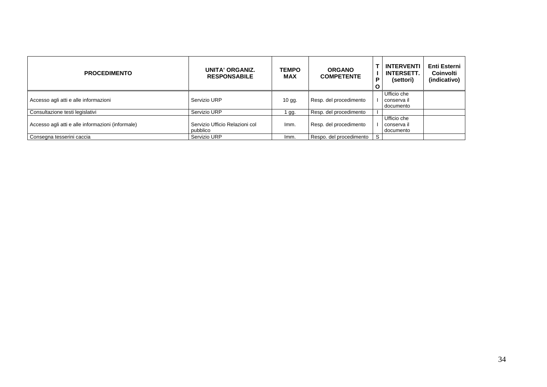| <b>PROCEDIMENTO</b>                               | UNITA' ORGANIZ.<br><b>RESPONSABILE</b>     | <b>TEMPO</b><br><b>MAX</b> | <b>ORGANO</b><br><b>COMPETENTE</b> | Ρ<br>$\mathbf{o}$ | <b>INTERVENTI</b><br><b>INTERSETT.</b><br>(settori) | <b>Enti Esterni</b><br>Coinvolti<br>(indicativo) |
|---------------------------------------------------|--------------------------------------------|----------------------------|------------------------------------|-------------------|-----------------------------------------------------|--------------------------------------------------|
| Accesso agli atti e alle informazioni             | Servizio URP                               | $10$ gg.                   | Resp. del procedimento             |                   | Ufficio che<br>conserva il<br>documento             |                                                  |
| Consultazione testi legislativi                   | Servizio URP                               | 1 gg.                      | Resp. del procedimento             |                   |                                                     |                                                  |
| Accesso agli atti e alle informazioni (informale) | Servizio Ufficio Relazioni col<br>pubblico | Imm.                       | Resp. del procedimento             |                   | Ufficio che<br>conserva il<br>documento             |                                                  |
| Consegna tesserini caccia                         | Servizio URP                               | Imm.                       | Respo. del procedimento            | S                 |                                                     |                                                  |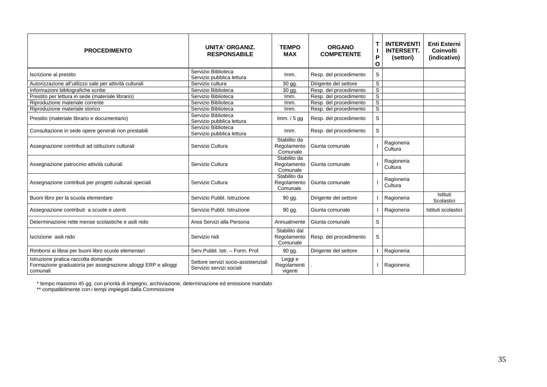| <b>PROCEDIMENTO</b>                                                                                              | <b>UNITA' ORGANIZ.</b><br><b>RESPONSABILE</b>                   | <b>TEMPO</b><br><b>MAX</b>               | <b>ORGANO</b><br><b>COMPETENTE</b> | Т<br>П<br>P<br>O | <b>INTERVENTI</b><br><b>INTERSETT.</b><br>(settori) | <b>Enti Esterni</b><br>Coinvolti<br>(indicativo) |
|------------------------------------------------------------------------------------------------------------------|-----------------------------------------------------------------|------------------------------------------|------------------------------------|------------------|-----------------------------------------------------|--------------------------------------------------|
| Iscrizione al prestito                                                                                           | Servizio Biblioteca<br>Servizio pubblica lettura                | Imm.                                     | Resp. del procedimento             | S                |                                                     |                                                  |
| Autorizzazione all'utilizzo sale per attività culturali                                                          | Servizio cultura                                                | 30 gg.                                   | Dirigente del settore              | S                |                                                     |                                                  |
| Informazioni bibliografiche scritte                                                                              | Servizio Biblioteca                                             | 30 gg.                                   | Resp. del procedimento             | S                |                                                     |                                                  |
| Prestito per lettura in sede (materiale librario)                                                                | Servizio Biblioteca                                             | Imm.                                     | Resp. del procedimento             | S                |                                                     |                                                  |
| Riproduzione materiale corrente                                                                                  | Servizio Biblioteca                                             | Imm.                                     | Resp. del procedimento             | S                |                                                     |                                                  |
| Riproduzione materiale storico                                                                                   | Servizio Biblioteca                                             | Imm.                                     | Resp. del procedimento             | $\overline{s}$   |                                                     |                                                  |
| Prestito (materiale librario e documentario)                                                                     | Servizio Biblioteca<br>Servizio pubblica lettura                | $Imm. / 5$ gg                            | Resp. del procedimento             | S                |                                                     |                                                  |
| Consultazione in sede opere generali non prestabili                                                              | Servizio Biblioteca<br>Servizio pubblica lettura                | Imm.                                     | Resp. del procedimento             | S                |                                                     |                                                  |
| Assegnazione contributi ad istituzioni culturali                                                                 | Servizio Cultura                                                | Stabilito da<br>Regolamento<br>Comunale  | Giunta comunale                    |                  | Ragioneria<br>Cultura                               |                                                  |
| Assegnazione patrocinio attività culturali                                                                       | Servizio Cultura                                                | Stabilito da<br>Regolamento<br>Comunale  | Giunta comunale                    |                  | Ragioneria<br>Cultura                               |                                                  |
| Assegnazione contributi per progetti culturali speciali                                                          | Servizio Cultura                                                | Stabilito da<br>Regolamento<br>Comunale. | Giunta comunale                    |                  | Ragioneria<br>Cultura                               |                                                  |
| Buoni libro per la scuola elementare                                                                             | Servizio Pubbl. Istruzione                                      | 90 gg.                                   | Dirigente del settore              |                  | Ragioneria                                          | Istituti<br>Scolastici                           |
| Assegnazione contributi a scuole e utenti                                                                        | Servizio Pubbl. Istruzione                                      | 90 gg.                                   | Giunta comunale                    |                  | Ragioneria                                          | Istituti scolastici                              |
| Determinazione rette mense scolastiche e asili nido                                                              | Area Servizi alla Persona                                       | Annualmente                              | Giunta comunale                    | S                |                                                     |                                                  |
| Iscrizione asili nido                                                                                            | Servizio nidi                                                   | Stabilito dal<br>Regolamento<br>Comunale | Resp. del procedimento             | S                |                                                     |                                                  |
| Rimborsi ai librai per buoni libro scuole elementari                                                             | Serv.Pubbl. Istr. - Form. Prof.                                 | 90 gg.                                   | Dirigente del settore              |                  | Ragioneria                                          |                                                  |
| Istruzione pratica-raccolta domande<br>Formazione graduatoria per assegnazione alloggi ERP e alloggi<br>comunali | Settore servizi socio-assistenziali<br>Servizio servizi sociali | Leggi e<br>Regolamenti<br>vigenti        |                                    |                  | Ragioneria                                          |                                                  |

\* tempo massimo 45 gg. con priorità di impegno, archiviazione, determinazione ed emissione mandato

\*\* compatibilmente con i tempi impiegati dalla Commissione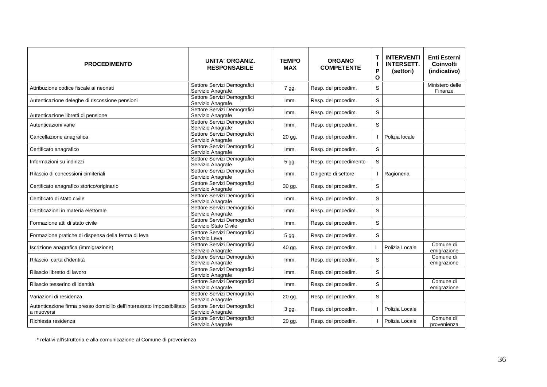| <b>PROCEDIMENTO</b>                                                                  | <b>UNITA' ORGANIZ.</b><br><b>RESPONSABILE</b>        | <b>TEMPO</b><br><b>MAX</b> | <b>ORGANO</b><br><b>COMPETENTE</b> | T<br>$\mathbf{I}$<br>P<br>$\mathbf{o}$ | <b>INTERVENTI</b><br><b>INTERSETT.</b><br>(settori) | <b>Enti Esterni</b><br>Coinvolti<br>(indicativo) |
|--------------------------------------------------------------------------------------|------------------------------------------------------|----------------------------|------------------------------------|----------------------------------------|-----------------------------------------------------|--------------------------------------------------|
| Attribuzione codice fiscale ai neonati                                               | Settore Servizi Demografici<br>Servizio Anagrafe     | 7 gg.                      | Resp. del procedim.                | S                                      |                                                     | Ministero delle<br>Finanze                       |
| Autenticazione deleghe di riscossione pensioni                                       | Settore Servizi Demografici<br>Servizio Anagrafe     | Imm.                       | Resp. del procedim.                | S                                      |                                                     |                                                  |
| Autenticazione libretti di pensione                                                  | Settore Servizi Demografici<br>Servizio Anagrafe     | Imm.                       | Resp. del procedim.                | S                                      |                                                     |                                                  |
| Autenticazioni varie                                                                 | Settore Servizi Demografici<br>Servizio Anagrafe     | Imm.                       | Resp. del procedim.                | S                                      |                                                     |                                                  |
| Cancellazione anagrafica                                                             | Settore Servizi Demografici<br>Servizio Anagrafe     | 20 gg.                     | Resp. del procedim.                |                                        | Polizia locale                                      |                                                  |
| Certificato anagrafico                                                               | Settore Servizi Demografici<br>Servizio Anagrafe     | Imm.                       | Resp. del procedim.                | S                                      |                                                     |                                                  |
| Informazioni su indirizzi                                                            | Settore Servizi Demografici<br>Servizio Anagrafe     | 5 gg.                      | Resp. del procedimento             | S                                      |                                                     |                                                  |
| Rilascio di concessioni cimiteriali                                                  | Settore Servizi Demografici<br>Servizio Anagrafe     | Imm.                       | Dirigente di settore               |                                        | Ragioneria                                          |                                                  |
| Certificato anagrafico storico/originario                                            | Settore Servizi Demografici<br>Servizio Anagrafe     | 30 gg.                     | Resp. del procedim.                | S                                      |                                                     |                                                  |
| Certificato di stato civile                                                          | Settore Servizi Demografici<br>Servizio Anagrafe     | Imm.                       | Resp. del procedim.                | S                                      |                                                     |                                                  |
| Certificazioni in materia elettorale                                                 | Settore Servizi Demografici<br>Servizio Anagrafe     | lmm.                       | Resp. del procedim.                | S                                      |                                                     |                                                  |
| Formazione atti di stato civile                                                      | Settore Servizi Demografici<br>Servizio Stato Civile | Imm.                       | Resp. del procedim.                | S                                      |                                                     |                                                  |
| Formazione pratiche di dispensa della ferma di leva                                  | Settore Servizi Demografici<br>Servizio Leva         | 5 gg.                      | Resp. del procedim.                | $\mathsf S$                            |                                                     |                                                  |
| Iscrizione anagrafica (immigrazione)                                                 | Settore Servizi Demografici<br>Servizio Anagrafe     | 40 gg.                     | Resp. del procedim.                |                                        | Polizia Locale                                      | Comune di<br>emigrazione                         |
| Rilascio carta d'identità                                                            | Settore Servizi Demografici<br>Servizio Anagrafe     | Imm.                       | Resp. del procedim.                | S                                      |                                                     | Comune di<br>emigrazione                         |
| Rilascio libretto di lavoro                                                          | Settore Servizi Demografici<br>Servizio Anagrafe     | Imm.                       | Resp. del procedim.                | S                                      |                                                     |                                                  |
| Rilascio tesserino di identità                                                       | Settore Servizi Demografici<br>Servizio Anagrafe     | Imm.                       | Resp. del procedim.                | S                                      |                                                     | Comune di<br>emigrazione                         |
| Variazioni di residenza                                                              | Settore Servizi Demografici<br>Servizio Anagrafe     | 20 gg.                     | Resp. del procedim.                | S                                      |                                                     |                                                  |
| Autenticazione firma presso domicilio dell'interessato impossibilitato<br>a muoversi | Settore Servizi Demografici<br>Servizio Anagrafe     | 3 gg.                      | Resp. del procedim.                |                                        | Polizia Locale                                      |                                                  |
| Richiesta residenza                                                                  | Settore Servizi Demografici<br>Servizio Anagrafe     | 20 gg.                     | Resp. del procedim.                |                                        | Polizia Locale                                      | Comune di<br>provenienza                         |

\* relativi all'istruttoria e alla comunicazione al Comune di provenienza